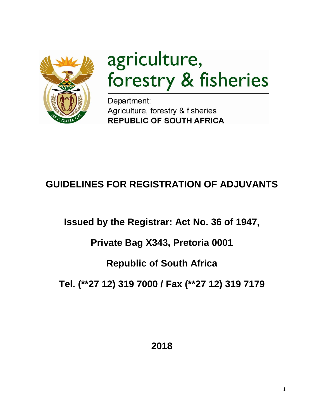

# agriculture, forestry & fisheries

Department: Agriculture, forestry & fisheries **REPUBLIC OF SOUTH AFRICA** 

# **GUIDELINES FOR REGISTRATION OF ADJUVANTS**

**Issued by the Registrar: Act No. 36 of 1947,** 

# **Private Bag X343, Pretoria 0001**

# **Republic of South Africa**

**Tel. (\*\*27 12) 319 7000 / Fax (\*\*27 12) 319 7179**

**2018**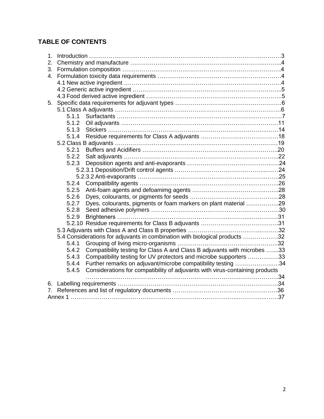# **TABLE OF CONTENTS**

| 1. |       |                                                                              |  |  |  |  |  |  |
|----|-------|------------------------------------------------------------------------------|--|--|--|--|--|--|
| 2. |       |                                                                              |  |  |  |  |  |  |
| 3. |       |                                                                              |  |  |  |  |  |  |
| 4. |       |                                                                              |  |  |  |  |  |  |
|    |       |                                                                              |  |  |  |  |  |  |
|    |       |                                                                              |  |  |  |  |  |  |
|    |       |                                                                              |  |  |  |  |  |  |
| 5. |       |                                                                              |  |  |  |  |  |  |
|    |       |                                                                              |  |  |  |  |  |  |
|    | 5.1.1 |                                                                              |  |  |  |  |  |  |
|    | 5.1.2 |                                                                              |  |  |  |  |  |  |
|    | 5.1.3 |                                                                              |  |  |  |  |  |  |
|    | 5.1.4 |                                                                              |  |  |  |  |  |  |
|    |       |                                                                              |  |  |  |  |  |  |
|    | 5.2.1 |                                                                              |  |  |  |  |  |  |
|    | 5.2.2 |                                                                              |  |  |  |  |  |  |
|    | 5.2.3 |                                                                              |  |  |  |  |  |  |
|    |       |                                                                              |  |  |  |  |  |  |
|    |       |                                                                              |  |  |  |  |  |  |
|    | 5.2.4 |                                                                              |  |  |  |  |  |  |
|    | 5.2.5 |                                                                              |  |  |  |  |  |  |
|    | 5.2.6 |                                                                              |  |  |  |  |  |  |
|    | 5.2.7 | Dyes, colourants, pigments or foam markers on plant material 29              |  |  |  |  |  |  |
|    | 5.2.8 |                                                                              |  |  |  |  |  |  |
|    | 5.2.9 |                                                                              |  |  |  |  |  |  |
|    |       |                                                                              |  |  |  |  |  |  |
|    |       |                                                                              |  |  |  |  |  |  |
|    |       | 5.4 Considerations for adjuvants in combination with biological products 32  |  |  |  |  |  |  |
|    | 5.4.1 |                                                                              |  |  |  |  |  |  |
|    | 5.4.2 | Compatibility testing for Class A and Class B adjuvants with microbes 33     |  |  |  |  |  |  |
|    | 5.4.3 | Compatibility testing for UV protectors and microbe supporters 33            |  |  |  |  |  |  |
|    | 5.4.4 | Further remarks on adjuvant/microbe compatibility testing 34                 |  |  |  |  |  |  |
|    | 5.4.5 | Considerations for compatibility of adjuvants with virus-containing products |  |  |  |  |  |  |
|    |       |                                                                              |  |  |  |  |  |  |
|    |       |                                                                              |  |  |  |  |  |  |
| 7. |       |                                                                              |  |  |  |  |  |  |
|    |       |                                                                              |  |  |  |  |  |  |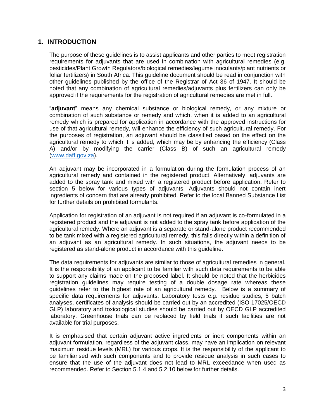### **1. INTRODUCTION**

The purpose of these guidelines is to assist applicants and other parties to meet registration requirements for adjuvants that are used in combination with agricultural remedies (e.g. pesticides/Plant Growth Regulators/biological remedies/legume inoculants/plant nutrients or foliar fertilizers) in South Africa. This guideline document should be read in conjunction with other guidelines published by the office of the Registrar of Act 36 of 1947. It should be noted that any combination of agricultural remedies/adjuvants plus fertilizers can only be approved if the requirements for the registration of agricultural remedies are met in full.

"**adjuvant**" means any chemical substance or biological remedy, or any mixture or combination of such substance or remedy and which, when it is added to an agricultural remedy which is prepared for application in accordance with the approved instructions for use of that agricultural remedy, will enhance the efficiency of such agricultural remedy. For the purposes of registration, an adjuvant should be classified based on the effect on the agricultural remedy to which it is added, which may be by enhancing the efficiency (Class A) and/or by modifying the carrier (Class B) of such an agricultural remedy [\(www.daff.gov.za\)](http://www.daff.gov.za/).

An adjuvant may be incorporated in a formulation during the formulation process of an agricultural remedy and contained in the registered product. Alternatively, adjuvants are added to the spray tank and mixed with a registered product before application. Refer to section 5 below for various types of adjuvants. Adjuvants should not contain inert ingredients of concern that are already prohibited. Refer to the local Banned Substance List for further details on prohibited formulants.

Application for registration of an adjuvant is not required if an adjuvant is co-formulated in a registered product and the adjuvant is not added to the spray tank before application of the agricultural remedy. Where an adjuvant is a separate or stand-alone product recommended to be tank mixed with a registered agricultural remedy, this falls directly within a definition of an adjuvant as an agricultural remedy. In such situations, the adjuvant needs to be registered as stand-alone product in accordance with this guideline.

The data requirements for adjuvants are similar to those of agricultural remedies in general. It is the responsibility of an applicant to be familiar with such data requirements to be able to support any claims made on the proposed label. It should be noted that the herbicides registration guidelines may require testing of a double dosage rate whereas these guidelines refer to the highest rate of an agricultural remedy. Below is a summary of specific data requirements for adjuvants. Laboratory tests e.g. residue studies, 5 batch analyses, certificates of analysis should be carried out by an accredited (ISO 17025/OECD GLP) laboratory and toxicological studies should be carried out by OECD GLP accredited laboratory. Greenhouse trials can be replaced by field trials if such facilities are not available for trial purposes.

It is emphasised that certain adjuvant active ingredients or inert components within an adjuvant formulation, regardless of the adjuvant class, may have an implication on relevant maximum residue levels (MRL) for various crops. It is the responsibility of the applicant to be familiarised with such components and to provide residue analysis in such cases to ensure that the use of the adjuvant does not lead to MRL exceedance when used as recommended. Refer to Section 5.1.4 and 5.2.10 below for further details.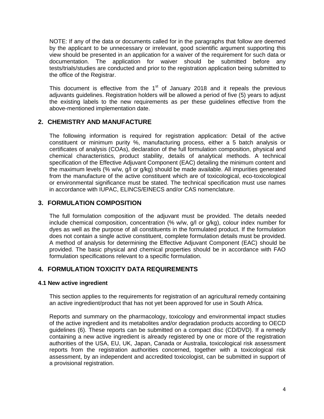NOTE: If any of the data or documents called for in the paragraphs that follow are deemed by the applicant to be unnecessary or irrelevant, good scientific argument supporting this view should be presented in an application for a waiver of the requirement for such data or documentation. The application for waiver should be submitted before any tests/trials/studies are conducted and prior to the registration application being submitted to the office of the Registrar.

This document is effective from the  $1<sup>st</sup>$  of January 2018 and it repeals the previous adjuvants guidelines. Registration holders will be allowed a period of five (5) years to adjust the existing labels to the new requirements as per these guidelines effective from the above-mentioned implementation date.

# **2. CHEMISTRY AND MANUFACTURE**

The following information is required for registration application: Detail of the active constituent or minimum purity %, manufacturing process, either a 5 batch analysis or certificates of analysis (COAs), declaration of the full formulation composition, physical and chemical characteristics, product stability, details of analytical methods. A technical specification of the Effective Adjuvant Component (EAC) detailing the minimum content and the maximum levels (% w/w, g/l or g/kg) should be made available. All impurities generated from the manufacture of the active constituent which are of toxicological, eco-toxicological or environmental significance must be stated. The technical specification must use names in accordance with IUPAC, ELINCS/EINECS and/or CAS nomenclature.

# **3. FORMULATION COMPOSITION**

The full formulation composition of the adjuvant must be provided. The details needed include chemical composition, concentration (% w/w, g/l or g/kg), colour index number for dyes as well as the purpose of all constituents in the formulated product. If the formulation does not contain a single active constituent, complete formulation details must be provided. A method of analysis for determining the Effective Adjuvant Component (EAC) should be provided. The basic physical and chemical properties should be in accordance with FAO formulation specifications relevant to a specific formulation.

# **4. FORMULATION TOXICITY DATA REQUIREMENTS**

#### **4.1 New active ingredient**

This section applies to the requirements for registration of an agricultural remedy containing an active ingredient/product that has not yet been approved for use in South Africa.

Reports and summary on the pharmacology, toxicology and environmental impact studies of the active ingredient and its metabolites and/or degradation products according to OECD guidelines (6). These reports can be submitted on a compact disc (CD/DVD). If a remedy containing a new active ingredient is already registered by one or more of the registration authorities of the USA, EU, UK, Japan, Canada or Australia, toxicological risk assessment reports from the registration authorities concerned, together with a toxicological risk assessment, by an independent and accredited toxicologist, can be submitted in support of a provisional registration.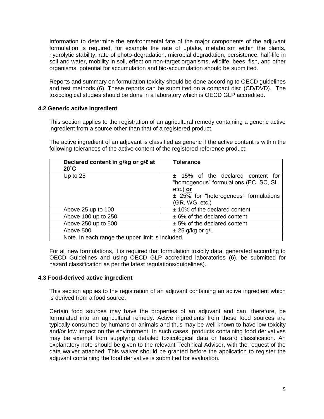Information to determine the environmental fate of the major components of the adjuvant formulation is required, for example the rate of uptake, metabolism within the plants, hydrolytic stability, rate of photo-degradation, microbial degradation, persistence, half-life in soil and water, mobility in soil, effect on non-target organisms, wildlife, bees, fish, and other organisms, potential for accumulation and bio-accumulation should be submitted.

Reports and summary on formulation toxicity should be done according to OECD guidelines and test methods (6). These reports can be submitted on a compact disc (CD/DVD). The toxicological studies should be done in a laboratory which is OECD GLP accredited.

#### **4.2 Generic active ingredient**

This section applies to the registration of an agricultural remedy containing a generic active ingredient from a source other than that of a registered product.

The active ingredient of an adjuvant is classified as generic if the active content is within the following tolerances of the active content of the registered reference product:

| Declared content in g/kg or g/l at<br>$20^{\circ}$ C | <b>Tolerance</b>                                                                                                                                     |  |  |  |  |
|------------------------------------------------------|------------------------------------------------------------------------------------------------------------------------------------------------------|--|--|--|--|
| Up to $25$                                           | $±$ 15% of the declared content for<br>"homogenous" formulations (EC, SC, SL,<br>etc.) or<br>± 25% for "heterogenous" formulations<br>(GR, WG, etc.) |  |  |  |  |
| Above 25 up to 100                                   | $±$ 10% of the declared content                                                                                                                      |  |  |  |  |
| Above 100 up to 250                                  | $± 6%$ of the declared content                                                                                                                       |  |  |  |  |
| Above 250 up to 500                                  | $± 5%$ of the declared content                                                                                                                       |  |  |  |  |
| Above 500                                            | $\pm$ 25 g/kg or g/L                                                                                                                                 |  |  |  |  |
| Note. In each range the upper limit is included.     |                                                                                                                                                      |  |  |  |  |

For all new formulations, it is required that formulation toxicity data, generated according to OECD Guidelines and using OECD GLP accredited laboratories (6), be submitted for hazard classification as per the latest regulations/guidelines).

#### **4.3 Food-derived active ingredient**

This section applies to the registration of an adjuvant containing an active ingredient which is derived from a food source.

Certain food sources may have the properties of an adjuvant and can, therefore, be formulated into an agricultural remedy. Active ingredients from these food sources are typically consumed by humans or animals and thus may be well known to have low toxicity and/or low impact on the environment. In such cases, products containing food derivatives may be exempt from supplying detailed toxicological data or hazard classification. An explanatory note should be given to the relevant Technical Advisor, with the request of the data waiver attached. This waiver should be granted before the application to register the adjuvant containing the food derivative is submitted for evaluation.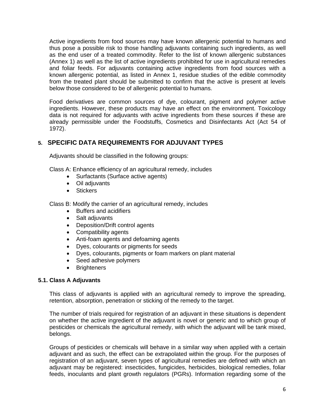Active ingredients from food sources may have known allergenic potential to humans and thus pose a possible risk to those handling adjuvants containing such ingredients, as well as the end user of a treated commodity. Refer to the list of known allergenic substances (Annex 1) as well as the list of active ingredients prohibited for use in agricultural remedies and foliar feeds. For adjuvants containing active ingredients from food sources with a known allergenic potential, as listed in Annex 1, residue studies of the edible commodity from the treated plant should be submitted to confirm that the active is present at levels below those considered to be of allergenic potential to humans.

Food derivatives are common sources of dye, colourant, pigment and polymer active ingredients. However, these products may have an effect on the environment. Toxicology data is not required for adjuvants with active ingredients from these sources if these are already permissible under the Foodstuffs, Cosmetics and Disinfectants Act (Act 54 of 1972).

# **5. SPECIFIC DATA REQUIREMENTS FOR ADJUVANT TYPES**

Adjuvants should be classified in the following groups:

Class A: Enhance efficiency of an agricultural remedy, includes

- Surfactants (Surface active agents)
- Oil adjuvants
- **•** Stickers

Class B: Modify the carrier of an agricultural remedy, includes

- Buffers and acidifiers
- Salt adjuvants
- Deposition/Drift control agents
- Compatibility agents
- Anti-foam agents and defoaming agents
- Dyes, colourants or pigments for seeds
- Dyes, colourants, pigments or foam markers on plant material
- Seed adhesive polymers
- Brighteners

#### **5.1. Class A Adjuvants**

This class of adjuvants is applied with an agricultural remedy to improve the spreading, retention, absorption, penetration or sticking of the remedy to the target.

The number of trials required for registration of an adjuvant in these situations is dependent on whether the active ingredient of the adjuvant is novel or generic and to which group of pesticides or chemicals the agricultural remedy, with which the adjuvant will be tank mixed, belongs.

Groups of pesticides or chemicals will behave in a similar way when applied with a certain adjuvant and as such, the effect can be extrapolated within the group. For the purposes of registration of an adjuvant, seven types of agricultural remedies are defined with which an adjuvant may be registered: insecticides, fungicides, herbicides, biological remedies, foliar feeds, inoculants and plant growth regulators (PGRs). Information regarding some of the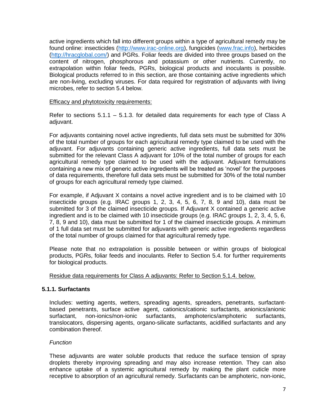active ingredients which fall into different groups within a type of agricultural remedy may be found online: insecticides [\(http://www.irac-online.org\)](http://www.irac-online.org/), fungicides [\(www.frac.info\)](http://www.frac.info/), herbicides [\(http://hracglobal.com/\)](http://hracglobal.com/) and PGRs. Foliar feeds are divided into three groups based on the content of nitrogen, phosphorous and potassium or other nutrients. Currently, no extrapolation within foliar feeds, PGRs, biological products and inoculants is possible. Biological products referred to in this section, are those containing active ingredients which are non-living, excluding viruses. For data required for registration of adjuvants with living microbes, refer to section 5.4 below.

#### Efficacy and phytotoxicity requirements:

Refer to sections  $5.1.1 - 5.1.3$ . for detailed data requirements for each type of Class A adjuvant.

For adjuvants containing novel active ingredients, full data sets must be submitted for 30% of the total number of groups for each agricultural remedy type claimed to be used with the adjuvant. For adjuvants containing generic active ingredients, full data sets must be submitted for the relevant Class A adjuvant for 10% of the total number of groups for each agricultural remedy type claimed to be used with the adjuvant. Adjuvant formulations containing a new mix of generic active ingredients will be treated as 'novel' for the purposes of data requirements, therefore full data sets must be submitted for 30% of the total number of groups for each agricultural remedy type claimed.

For example, if Adjuvant X contains a novel active ingredient and is to be claimed with 10 insecticide groups (e.g. IRAC groups 1, 2, 3, 4, 5, 6, 7, 8, 9 and 10), data must be submitted for 3 of the claimed insecticide groups. If Adjuvant X contained a generic active ingredient and is to be claimed with 10 insecticide groups (e.g. IRAC groups 1, 2, 3, 4, 5, 6, 7, 8, 9 and 10), data must be submitted for 1 of the claimed insecticide groups. A minimum of 1 full data set must be submitted for adjuvants with generic active ingredients regardless of the total number of groups claimed for that agricultural remedy type.

Please note that no extrapolation is possible between or within groups of biological products, PGRs, foliar feeds and inoculants. Refer to Section 5.4. for further requirements for biological products.

Residue data requirements for Class A adjuvants: Refer to Section 5.1.4. below.

#### **5.1.1. Surfactants**

Includes: wetting agents, wetters, spreading agents, spreaders, penetrants, surfactantbased penetrants, surface active agent, cationics/cationic surfactants, anionics/anionic surfactant, non-ionics/non-ionic surfactants, amphoterics/amphoteric surfactants, translocators, dispersing agents, organo-silicate surfactants, acidified surfactants and any combination thereof.

#### *Function*

These adjuvants are water soluble products that reduce the surface tension of spray droplets thereby improving spreading and may also increase retention. They can also enhance uptake of a systemic agricultural remedy by making the plant cuticle more receptive to absorption of an agricultural remedy. Surfactants can be amphoteric, non-ionic,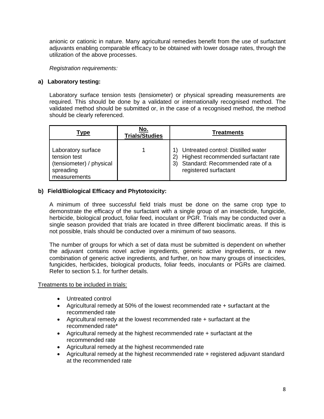anionic or cationic in nature. Many agricultural remedies benefit from the use of surfactant adjuvants enabling comparable efficacy to be obtained with lower dosage rates, through the utilization of the above processes.

*Registration requirements:*

#### **a) Laboratory testing:**

Laboratory surface tension tests (tensiometer) or physical spreading measurements are required. This should be done by a validated or internationally recognised method. The validated method should be submitted or, in the case of a recognised method, the method should be clearly referenced.

| Type                                                                                        | No.<br><b>Trials/Studies</b> | <b>Treatments</b>                                                                                                                        |
|---------------------------------------------------------------------------------------------|------------------------------|------------------------------------------------------------------------------------------------------------------------------------------|
| Laboratory surface<br>tension test<br>(tensiometer) / physical<br>spreading<br>measurements |                              | Untreated control: Distilled water<br>Highest recommended surfactant rate<br>3) Standard: Recommended rate of a<br>registered surfactant |

#### **b) Field/Biological Efficacy and Phytotoxicity:**

A minimum of three successful field trials must be done on the same crop type to demonstrate the efficacy of the surfactant with a single group of an insecticide, fungicide, herbicide, biological product, foliar feed, inoculant or PGR. Trials may be conducted over a single season provided that trials are located in three different bioclimatic areas. If this is not possible, trials should be conducted over a minimum of two seasons.

The number of groups for which a set of data must be submitted is dependent on whether the adjuvant contains novel active ingredients, generic active ingredients, or a new combination of generic active ingredients, and further, on how many groups of insecticides, fungicides, herbicides, biological products, foliar feeds, inoculants or PGRs are claimed. Refer to section 5.1. for further details.

#### Treatments to be included in trials:

- Untreated control
- Agricultural remedy at 50% of the lowest recommended rate + surfactant at the recommended rate
- Agricultural remedy at the lowest recommended rate + surfactant at the recommended rate\*
- Agricultural remedy at the highest recommended rate + surfactant at the recommended rate
- Agricultural remedy at the highest recommended rate
- Agricultural remedy at the highest recommended rate + registered adjuvant standard at the recommended rate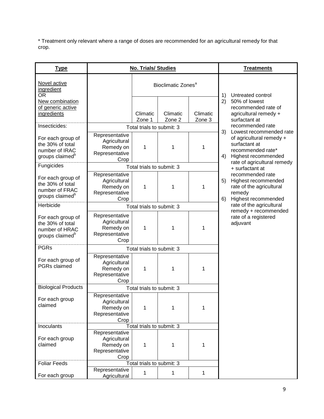\* Treatment only relevant where a range of doses are recommended for an agricultural remedy for that crop.

| <b>Type</b>                                                                            |                                                                       | <b>No. Trials/ Studies</b> | <b>Treatments</b>              |                    |                                                                                                                              |
|----------------------------------------------------------------------------------------|-----------------------------------------------------------------------|----------------------------|--------------------------------|--------------------|------------------------------------------------------------------------------------------------------------------------------|
| Novel active<br>ingredient<br><b>OR</b>                                                |                                                                       |                            | Bioclimatic Zones <sup>a</sup> |                    |                                                                                                                              |
| New combination<br>of generic active<br>ingredients                                    |                                                                       | Climatic<br>Zone 1         | Climatic<br>Zone 2             | Climatic<br>Zone 3 | Untreated control<br>1)<br>2)<br>50% of lowest<br>recommended rate of<br>agricultural remedy +<br>surfactant at              |
| Insecticides:                                                                          |                                                                       | Total trials to submit: 3  |                                |                    | recommended rate                                                                                                             |
| For each group of<br>the 30% of total<br>number of IRAC<br>groups claimed <sup>b</sup> | Representative<br>Agricultural<br>Remedy on<br>Representative<br>Crop | 1                          | 1                              | 1                  | 3)<br>Lowest recommended rate<br>of agricultural remedy +<br>surfactant at<br>recommended rate*<br>Highest recommended<br>4) |
| Fungicides                                                                             |                                                                       | Total trials to submit: 3  |                                |                    | rate of agricultural remedy<br>+ surfactant at                                                                               |
| For each group of<br>the 30% of total<br>number of FRAC<br>groups claimed <sup>b</sup> | Representative<br>Agricultural<br>Remedy on<br>Representative<br>Crop | 1                          | 1                              | 1                  | recommended rate<br>5)<br>Highest recommended<br>rate of the agricultural<br>remedy<br>Highest recommended<br>6)             |
| Herbicide                                                                              |                                                                       | Total trials to submit: 3  | rate of the agricultural       |                    |                                                                                                                              |
| For each group of<br>the 30% of total<br>number of HRAC<br>groups claimed <sup>b</sup> | Representative<br>Agricultural<br>Remedy on<br>Representative<br>Crop | 1                          | 1                              | 1                  | remedy + recommended<br>rate of a registered<br>adjuvant                                                                     |
| <b>PGRs</b>                                                                            |                                                                       | Total trials to submit: 3  |                                |                    |                                                                                                                              |
| For each group of<br><b>PGRs</b> claimed                                               | Representative<br>Agricultural<br>Remedy on<br>Representative<br>Crop | 1                          | 1                              | 1                  |                                                                                                                              |
| <b>Biological Products</b>                                                             |                                                                       | Total trials to submit: 3  |                                |                    |                                                                                                                              |
| For each group<br>claimed                                                              | Representative<br>Agricultural<br>Remedy on<br>Representative<br>Crop | 1                          | 1                              | 1                  |                                                                                                                              |
| Inoculants                                                                             |                                                                       | Total trials to submit: 3  |                                |                    |                                                                                                                              |
| For each group<br>claimed                                                              | Representative<br>Agricultural<br>Remedy on<br>Representative<br>Crop | 1                          | 1                              | 1                  |                                                                                                                              |
| <b>Foliar Feeds</b>                                                                    |                                                                       | Total trials to submit: 3  |                                |                    |                                                                                                                              |
| For each group                                                                         | Representative<br>Agricultural                                        | 1                          | 1                              | 1                  |                                                                                                                              |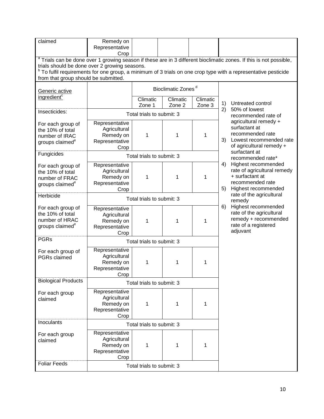| claimed                                                                                | Remedy on<br>Representative                                           |                           |                                |                    |                                                                                                                               |
|----------------------------------------------------------------------------------------|-----------------------------------------------------------------------|---------------------------|--------------------------------|--------------------|-------------------------------------------------------------------------------------------------------------------------------|
|                                                                                        | Crop                                                                  |                           |                                |                    | <sup>a</sup> Trials can be done over 1 growing season if these are in 3 different bioclimatic zones. If this is not possible, |
| trials should be done over 2 growing seasons.                                          |                                                                       |                           |                                |                    |                                                                                                                               |
|                                                                                        |                                                                       |                           |                                |                    | <sup>b</sup> To fulfil requirements for one group, a minimum of 3 trials on one crop type with a representative pesticide     |
| from that group should be submitted.                                                   |                                                                       |                           |                                |                    |                                                                                                                               |
| Generic active                                                                         |                                                                       |                           | Bioclimatic Zones <sup>d</sup> |                    |                                                                                                                               |
| ingredient <sup>c</sup>                                                                |                                                                       | Climatic<br>Zone 1        | Climatic<br>Zone 2             | Climatic<br>Zone 3 | Untreated control<br>1)<br>50% of lowest<br>2)                                                                                |
| Insecticides:                                                                          |                                                                       | Total trials to submit: 3 |                                |                    | recommended rate of                                                                                                           |
| For each group of<br>the 10% of total<br>number of IRAC<br>groups claimed <sup>e</sup> | Representative<br>Agricultural<br>Remedy on<br>Representative<br>Crop | 1                         | 1                              | 1                  | agricultural remedy +<br>surfactant at<br>recommended rate<br>3)<br>Lowest recommended rate<br>of agricultural remedy +       |
| Fungicides                                                                             |                                                                       | Total trials to submit: 3 |                                |                    | surfactant at<br>recommended rate*                                                                                            |
| For each group of<br>the 10% of total<br>number of FRAC<br>groups claimed <sup>e</sup> | Representative<br>Agricultural<br>Remedy on<br>Representative<br>Crop | 1                         | 1                              | 1                  | Highest recommended<br>4)<br>rate of agricultural remedy<br>+ surfactant at<br>recommended rate<br>Highest recommended<br>5)  |
| Herbicide                                                                              |                                                                       | Total trials to submit: 3 |                                |                    | rate of the agricultural<br>remedy                                                                                            |
| For each group of<br>the 10% of total<br>number of HRAC<br>groups claimed <sup>e</sup> | Representative<br>Agricultural<br>Remedy on<br>Representative<br>Crop | 1                         | 1                              | 1                  | 6)<br>Highest recommended<br>rate of the agricultural<br>remedy + recommended<br>rate of a registered<br>adjuvant             |
| <b>PGRs</b>                                                                            |                                                                       | Total trials to submit: 3 |                                |                    |                                                                                                                               |
| For each group of<br>PGRs claimed                                                      | Representative<br>Agricultural<br>Remedy on<br>Representative<br>Crop | 1                         | 1                              | 1                  |                                                                                                                               |
| <b>Biological Products</b>                                                             |                                                                       | Total trials to submit: 3 |                                |                    |                                                                                                                               |
| For each group<br>claimed                                                              | Representative<br>Agricultural<br>Remedy on<br>Representative<br>Crop | 1                         | 1                              | 1                  |                                                                                                                               |
| Inoculants                                                                             |                                                                       | Total trials to submit: 3 |                                |                    |                                                                                                                               |
| For each group<br>claimed                                                              | Representative<br>Agricultural<br>Remedy on<br>Representative<br>Crop | 1                         | 1                              | 1                  |                                                                                                                               |
| <b>Foliar Feeds</b>                                                                    |                                                                       | Total trials to submit: 3 |                                |                    |                                                                                                                               |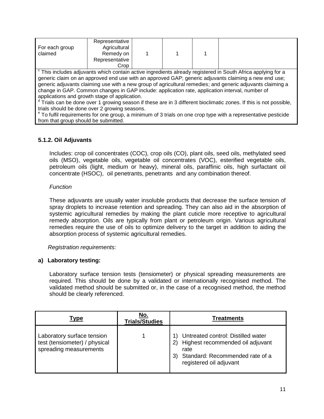| For each group<br>claimed | Representative<br>Agricultural<br>Remedy on<br>Representative |  |  |
|---------------------------|---------------------------------------------------------------|--|--|
|                           | Crop                                                          |  |  |

<sup>c</sup> This includes adjuvants which contain active ingredients already registered in South Africa applying for a generic claim on an approved end use with an approved GAP; generic adjuvants claiming a new end use; generic adjuvants claiming use with a new group of agricultural remedies; and generic adjuvants claiming a change in GAP. Common changes in GAP include: application rate, application interval, number of applications and growth stage of application.

d Trials can be done over 1 growing season if these are in 3 different bioclimatic zones. If this is not possible, trials should be done over 2 growing seasons.

e To fulfil requirements for one group, a minimum of 3 trials on one crop type with a representative pesticide from that group should be submitted.

#### **5.1.2. Oil Adjuvants**

Includes: crop oil concentrates (COC), crop oils (CO), plant oils, seed oils, methylated seed oils (MSO), vegetable oils, vegetable oil concentrates (VOC), esterified vegetable oils, petroleum oils (light, medium or heavy), mineral oils, paraffinic oils, high surfactant oil concentrate (HSOC), oil penetrants, penetrants and any combination thereof.

#### *Function*

These adjuvants are usually water insoluble products that decrease the surface tension of spray droplets to increase retention and spreading. They can also aid in the absorption of systemic agricultural remedies by making the plant cuticle more receptive to agricultural remedy absorption. Oils are typically from plant or petroleum origin. Various agricultural remedies require the use of oils to optimize delivery to the target in addition to aiding the absorption process of systemic agricultural remedies.

 *Registration requirements:*

#### **a) Laboratory testing:**

Laboratory surface tension tests (tensiometer) or physical spreading measurements are required. This should be done by a validated or internationally recognised method. The validated method should be submitted or, in the case of a recognised method, the method should be clearly referenced.

| Type                                                                                  | No.<br><b>Trials/Studies</b> | <b>Treatments</b>                                                                                                                                  |
|---------------------------------------------------------------------------------------|------------------------------|----------------------------------------------------------------------------------------------------------------------------------------------------|
| Laboratory surface tension<br>test (tensiometer) / physical<br>spreading measurements |                              | Untreated control: Distilled water<br>Highest recommended oil adjuvant<br>rate<br>Standard: Recommended rate of a<br>3)<br>registered oil adjuvant |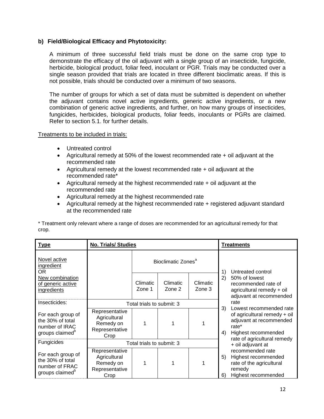#### **b) Field/Biological Efficacy and Phytotoxicity:**

A minimum of three successful field trials must be done on the same crop type to demonstrate the efficacy of the oil adjuvant with a single group of an insecticide, fungicide, herbicide, biological product, foliar feed, inoculant or PGR. Trials may be conducted over a single season provided that trials are located in three different bioclimatic areas. If this is not possible, trials should be conducted over a minimum of two seasons.

The number of groups for which a set of data must be submitted is dependent on whether the adjuvant contains novel active ingredients, generic active ingredients, or a new combination of generic active ingredients, and further, on how many groups of insecticides, fungicides, herbicides, biological products, foliar feeds, inoculants or PGRs are claimed. Refer to section 5.1. for further details.

#### Treatments to be included in trials:

- Untreated control
- Agricultural remedy at 50% of the lowest recommended rate + oil adjuvant at the recommended rate
- Agricultural remedy at the lowest recommended rate + oil adjuvant at the recommended rate\*
- Agricultural remedy at the highest recommended rate + oil adjuvant at the recommended rate
- Agricultural remedy at the highest recommended rate
- Agricultural remedy at the highest recommended rate + registered adjuvant standard at the recommended rate

\* Treatment only relevant where a range of doses are recommended for an agricultural remedy for that crop.

| <b>Type</b>                                                                            | <b>No. Trials/ Studies</b>                                            |                           |                                |                    |          | Treatments                                                                                                                                        |
|----------------------------------------------------------------------------------------|-----------------------------------------------------------------------|---------------------------|--------------------------------|--------------------|----------|---------------------------------------------------------------------------------------------------------------------------------------------------|
| Novel active<br>ingredient<br>OR.                                                      |                                                                       |                           | Bioclimatic Zones <sup>a</sup> |                    | 1)       | Untreated control                                                                                                                                 |
| New combination<br>of generic active<br>ingredients                                    |                                                                       | Climatic<br>Zone 1        | Climatic<br>Zone 2             | Climatic<br>Zone 3 | 2)       | 50% of lowest<br>recommended rate of<br>agricultural remedy + oil<br>adjuvant at recommended                                                      |
| Insecticides:                                                                          |                                                                       | Total trials to submit: 3 |                                |                    |          | rate                                                                                                                                              |
| For each group of<br>the 30% of total<br>number of IRAC<br>groups claimed <sup>b</sup> | Representative<br>Agricultural<br>Remedy on<br>Representative<br>Crop |                           |                                |                    | 3)<br>4) | Lowest recommended rate<br>of agricultural remedy + oil<br>adjuvant at recommended<br>rate*<br>Highest recommended<br>rate of agricultural remedy |
| Fungicides                                                                             |                                                                       | Total trials to submit: 3 |                                |                    |          | + oil adjuvant at                                                                                                                                 |
| For each group of<br>the 30% of total<br>number of FRAC<br>groups claimed <sup>b</sup> | Representative<br>Agricultural<br>Remedy on<br>Representative<br>Crop |                           |                                |                    | 5)<br>6) | recommended rate<br>Highest recommended<br>rate of the agricultural<br>remedy<br>Highest recommended                                              |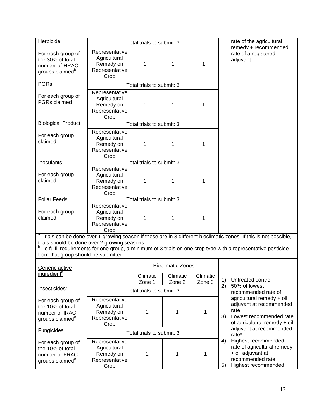| Herbicide                                                                                                                                                                                                                                                                                                                                           |                                                                       | Total trials to submit: 3 |                                |                    | rate of the agricultural |                                                                                                                         |  |
|-----------------------------------------------------------------------------------------------------------------------------------------------------------------------------------------------------------------------------------------------------------------------------------------------------------------------------------------------------|-----------------------------------------------------------------------|---------------------------|--------------------------------|--------------------|--------------------------|-------------------------------------------------------------------------------------------------------------------------|--|
| For each group of<br>the 30% of total<br>number of HRAC<br>groups claimed <sup>b</sup>                                                                                                                                                                                                                                                              | Representative<br>Agricultural<br>Remedy on<br>Representative<br>Crop | 1                         | 1                              | 1                  |                          | remedy + recommended<br>rate of a registered<br>adjuvant                                                                |  |
| <b>PGRs</b>                                                                                                                                                                                                                                                                                                                                         |                                                                       | Total trials to submit: 3 |                                |                    |                          |                                                                                                                         |  |
| For each group of<br><b>PGRs</b> claimed                                                                                                                                                                                                                                                                                                            | Representative<br>Agricultural<br>Remedy on<br>Representative<br>Crop | 1                         | 1                              | 1                  |                          |                                                                                                                         |  |
| <b>Biological Product</b>                                                                                                                                                                                                                                                                                                                           |                                                                       | Total trials to submit: 3 |                                |                    |                          |                                                                                                                         |  |
| For each group<br>claimed                                                                                                                                                                                                                                                                                                                           | Representative<br>Agricultural<br>Remedy on<br>Representative<br>Crop | 1                         | 1                              | 1                  |                          |                                                                                                                         |  |
| Inoculants                                                                                                                                                                                                                                                                                                                                          |                                                                       | Total trials to submit: 3 |                                |                    |                          |                                                                                                                         |  |
| For each group<br>claimed                                                                                                                                                                                                                                                                                                                           | Representative<br>Agricultural<br>Remedy on<br>Representative<br>Crop | 1                         | 1                              | 1                  |                          |                                                                                                                         |  |
| <b>Foliar Feeds</b>                                                                                                                                                                                                                                                                                                                                 |                                                                       | Total trials to submit: 3 |                                |                    |                          |                                                                                                                         |  |
| For each group<br>claimed                                                                                                                                                                                                                                                                                                                           | Representative<br>Agricultural<br>Remedy on<br>Representative<br>Crop | 1                         | 1                              | 1                  |                          |                                                                                                                         |  |
| <sup>a</sup> Trials can be done over 1 growing season if these are in 3 different bioclimatic zones. If this is not possible,<br>trials should be done over 2 growing seasons.<br><sup>b</sup> To fulfil requirements for one group, a minimum of 3 trials on one crop type with a representative pesticide<br>from that group should be submitted. |                                                                       |                           |                                |                    |                          |                                                                                                                         |  |
| Generic active                                                                                                                                                                                                                                                                                                                                      |                                                                       |                           | Bioclimatic Zones <sup>d</sup> |                    |                          |                                                                                                                         |  |
| ingredient <sup>c</sup>                                                                                                                                                                                                                                                                                                                             |                                                                       | Climatic<br>Zone 1        | Climatic<br>Zone 2             | Climatic<br>Zone 3 | 1)                       | Untreated control                                                                                                       |  |
| Insecticides:                                                                                                                                                                                                                                                                                                                                       |                                                                       | Total trials to submit: 3 |                                |                    | 2)                       | 50% of lowest<br>recommended rate of                                                                                    |  |
| For each group of<br>the 10% of total<br>number of IRAC<br>groups claimed <sup>e</sup>                                                                                                                                                                                                                                                              | Representative<br>Agricultural<br>Remedy on<br>Representative<br>Crop | 1                         | 1                              | 1                  | 3)                       | agricultural remedy + oil<br>adjuvant at recommended<br>rate<br>Lowest recommended rate<br>of agricultural remedy + oil |  |
| Fungicides<br>Total trials to submit: 3                                                                                                                                                                                                                                                                                                             |                                                                       |                           |                                |                    |                          | adjuvant at recommended<br>rate*                                                                                        |  |
| For each group of<br>the 10% of total<br>number of FRAC<br>groups claimed <sup>e</sup>                                                                                                                                                                                                                                                              | Representative<br>Agricultural<br>Remedy on<br>Representative<br>Crop | 1                         | 1                              | 1                  | 4)<br>5)                 | Highest recommended<br>rate of agricultural remedy<br>+ oil adjuvant at<br>recommended rate<br>Highest recommended      |  |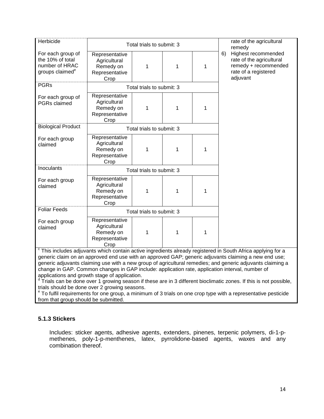| Herbicide<br>rate of the agricultural                                                  |                                                                       |                           |   |   |    |                                                                                                                       |
|----------------------------------------------------------------------------------------|-----------------------------------------------------------------------|---------------------------|---|---|----|-----------------------------------------------------------------------------------------------------------------------|
|                                                                                        | Total trials to submit: 3                                             |                           |   |   |    | remedy                                                                                                                |
| For each group of<br>the 10% of total<br>number of HRAC<br>groups claimed <sup>e</sup> | Representative<br>Agricultural<br>Remedy on<br>Representative<br>Crop | 1                         | 1 | 1 | 6) | Highest recommended<br>rate of the agricultural<br>remedy + recommended<br>rate of a registered<br>adjuvant           |
| <b>PGRs</b>                                                                            |                                                                       | Total trials to submit: 3 |   |   |    |                                                                                                                       |
| For each group of<br>PGRs claimed                                                      | Representative<br>Agricultural<br>Remedy on<br>Representative<br>Crop | 1                         | 1 | 1 |    |                                                                                                                       |
| <b>Biological Product</b>                                                              |                                                                       | Total trials to submit: 3 |   |   |    |                                                                                                                       |
| For each group<br>claimed                                                              | Representative<br>Agricultural<br>Remedy on<br>Representative<br>Crop | 1                         | 1 | 1 |    |                                                                                                                       |
| Inoculants                                                                             |                                                                       | Total trials to submit: 3 |   |   |    |                                                                                                                       |
| For each group<br>claimed                                                              | Representative<br>Agricultural<br>Remedy on<br>Representative<br>Crop | 1                         | 1 | 1 |    |                                                                                                                       |
| <b>Foliar Feeds</b>                                                                    |                                                                       | Total trials to submit: 3 |   |   |    |                                                                                                                       |
| For each group<br>claimed                                                              | Representative<br>Agricultural<br>Remedy on<br>Representative<br>Crop | 1                         | 1 | 1 |    | $^{\circ}$ This includes adjugants which contain active incredients elready registered in Couth Africa applying for a |

This includes adjuvants which contain active ingredients already registered in South Africa applying for a generic claim on an approved end use with an approved GAP; generic adjuvants claiming a new end use; generic adjuvants claiming use with a new group of agricultural remedies; and generic adjuvants claiming a change in GAP. Common changes in GAP include: application rate, application interval, number of applications and growth stage of application.

d Trials can be done over 1 growing season if these are in 3 different bioclimatic zones. If this is not possible, trials should be done over 2 growing seasons.

e To fulfil requirements for one group, a minimum of 3 trials on one crop type with a representative pesticide from that group should be submitted.

#### **5.1.3 Stickers**

Includes: sticker agents, adhesive agents, extenders, pinenes, terpenic polymers, di-1-pmethenes, poly-1-p-menthenes, latex, pyrrolidone-based agents, waxes and any combination thereof.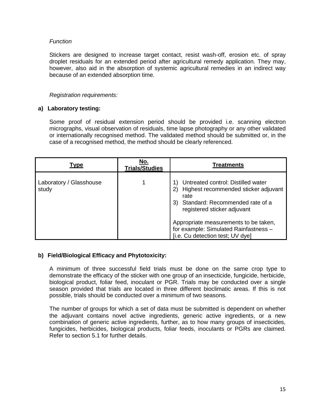#### *Function*

Stickers are designed to increase target contact, resist wash-off, erosion etc. of spray droplet residuals for an extended period after agricultural remedy application. They may, however, also aid in the absorption of systemic agricultural remedies in an indirect way because of an extended absorption time.

#### *Registration requirements:*

#### **a) Laboratory testing:**

Some proof of residual extension period should be provided i.e. scanning electron micrographs, visual observation of residuals, time lapse photography or any other validated or internationally recognised method. The validated method should be submitted or, in the case of a recognised method, the method should be clearly referenced.

| <b>Type</b>                      | No.<br><b>Trials/Studies</b> | <b>Treatments</b>                                                                                                                                                |
|----------------------------------|------------------------------|------------------------------------------------------------------------------------------------------------------------------------------------------------------|
| Laboratory / Glasshouse<br>study |                              | Untreated control: Distilled water<br>Highest recommended sticker adjuvant<br>2)<br>rate<br>Standard: Recommended rate of a<br>3)<br>registered sticker adjuvant |
|                                  |                              | Appropriate measurements to be taken,<br>for example: Simulated Rainfastness -<br>[i.e. Cu detection test; UV dye]                                               |

#### **b) Field/Biological Efficacy and Phytotoxicity:**

A minimum of three successful field trials must be done on the same crop type to demonstrate the efficacy of the sticker with one group of an insecticide, fungicide, herbicide, biological product, foliar feed, inoculant or PGR. Trials may be conducted over a single season provided that trials are located in three different bioclimatic areas. If this is not possible, trials should be conducted over a minimum of two seasons.

The number of groups for which a set of data must be submitted is dependent on whether the adjuvant contains novel active ingredients, generic active ingredients, or a new combination of generic active ingredients, further, as to how many groups of insecticides, fungicides, herbicides, biological products, foliar feeds, inoculants or PGRs are claimed. Refer to section 5.1 for further details.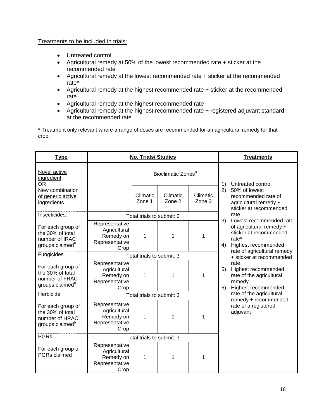#### Treatments to be included in trials:

- Untreated control
- Agricultural remedy at 50% of the lowest recommended rate + sticker at the recommended rate
- Agricultural remedy at the lowest recommended rate + sticker at the recommended rate\*
- Agricultural remedy at the highest recommended rate + sticker at the recommended rate
- Agricultural remedy at the highest recommended rate
- Agricultural remedy at the highest recommended rate + registered adjuvant standard at the recommended rate

\* Treatment only relevant where a range of doses are recommended for an agricultural remedy for that crop.

| <b>Type</b>                                                                            | <b>No. Trials/ Studies</b>                                            |                                |                    |                    |                         | <b>Treatments</b>                                                                                                                                                                                                                                                          |  |
|----------------------------------------------------------------------------------------|-----------------------------------------------------------------------|--------------------------------|--------------------|--------------------|-------------------------|----------------------------------------------------------------------------------------------------------------------------------------------------------------------------------------------------------------------------------------------------------------------------|--|
| Novel active<br>ingredient<br>0R                                                       |                                                                       | Bioclimatic Zones <sup>a</sup> |                    |                    | Untreated control<br>1) |                                                                                                                                                                                                                                                                            |  |
| New combination<br>of generic active<br>ingredients                                    |                                                                       | Climatic<br>Zone 1             | Climatic<br>Zone 2 | Climatic<br>Zone 3 | 2)                      | 50% of lowest<br>recommended rate of<br>agricultural remedy +<br>sticker at recommended                                                                                                                                                                                    |  |
| Insecticides:                                                                          |                                                                       | Total trials to submit: 3      |                    |                    |                         | rate                                                                                                                                                                                                                                                                       |  |
| For each group of<br>the 30% of total<br>number of IRAC<br>groups claimed <sup>b</sup> | Representative<br>Agricultural<br>Remedy on<br>Representative<br>Crop | 1                              | 1                  | 1                  | 4)                      | 3)<br>Lowest recommended rate<br>of agricultural remedy +<br>sticker at recommended<br>rate*<br>Highest recommended<br>rate of agricultural remedy<br>+ sticker at recommended<br>rate<br>Highest recommended<br>rate of the agricultural<br>remedy<br>Highest recommended |  |
| Fungicides                                                                             |                                                                       | Total trials to submit: 3      |                    |                    |                         |                                                                                                                                                                                                                                                                            |  |
| For each group of<br>the 30% of total<br>number of FRAC<br>groups claimed <sup>b</sup> | Representative<br>Agricultural<br>Remedy on<br>Representative<br>Crop | 1                              | 1                  | 1                  | 5)<br>6)                |                                                                                                                                                                                                                                                                            |  |
| Herbicide                                                                              | Total trials to submit: 3                                             |                                |                    |                    |                         | rate of the agricultural                                                                                                                                                                                                                                                   |  |
| For each group of<br>the 30% of total<br>number of HRAC<br>groups claimed <sup>b</sup> | Representative<br>Agricultural<br>Remedy on<br>Representative<br>Crop | 1                              | 1                  | 1                  |                         | remedy + recommended<br>rate of a registered<br>adjuvant                                                                                                                                                                                                                   |  |
| <b>PGRs</b>                                                                            | Total trials to submit: 3                                             |                                |                    |                    |                         |                                                                                                                                                                                                                                                                            |  |
| For each group of<br><b>PGRs</b> claimed                                               | Representative<br>Agricultural<br>Remedy on<br>Representative<br>Crop | 1                              | 1                  | 1                  |                         |                                                                                                                                                                                                                                                                            |  |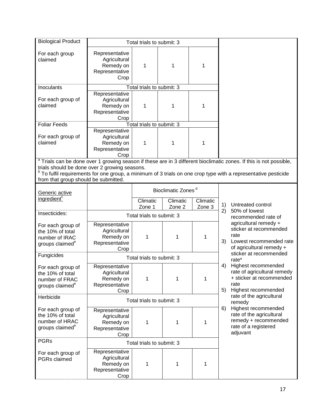| <b>Biological Product</b>                                                              |                                                                       | Total trials to submit: 3 |                                |                                            |                                                                                                                               |
|----------------------------------------------------------------------------------------|-----------------------------------------------------------------------|---------------------------|--------------------------------|--------------------------------------------|-------------------------------------------------------------------------------------------------------------------------------|
| For each group<br>claimed                                                              | Representative<br>Agricultural<br>Remedy on<br>Representative<br>Crop | 1                         | 1                              | 1                                          |                                                                                                                               |
| Inoculants                                                                             |                                                                       | Total trials to submit: 3 |                                |                                            |                                                                                                                               |
| For each group of<br>claimed                                                           | Representative<br>Agricultural<br>Remedy on<br>Representative<br>Crop | 1                         | 1                              | 1                                          |                                                                                                                               |
| <b>Foliar Feeds</b>                                                                    |                                                                       | Total trials to submit: 3 |                                |                                            |                                                                                                                               |
| For each group of<br>claimed                                                           | Representative<br>Agricultural<br>Remedy on<br>Representative<br>Crop | 1                         | 1                              | 1                                          |                                                                                                                               |
|                                                                                        |                                                                       |                           |                                |                                            | <sup>a</sup> Trials can be done over 1 growing season if these are in 3 different bioclimatic zones. If this is not possible, |
| trials should be done over 2 growing seasons.                                          |                                                                       |                           |                                |                                            | <sup>b</sup> To fulfil requirements for one group, a minimum of 3 trials on one crop type with a representative pesticide     |
| from that group should be submitted.                                                   |                                                                       |                           |                                |                                            |                                                                                                                               |
| Generic active                                                                         |                                                                       |                           | Bioclimatic Zones <sup>d</sup> |                                            |                                                                                                                               |
| ingredient <sup>c</sup>                                                                |                                                                       | Climatic<br>Zone 1        | Climatic<br>Zone 2             | Climatic<br>Zone 3                         | Untreated control<br>1)                                                                                                       |
| Insecticides:                                                                          | Total trials to submit: 3                                             |                           |                                | 50% of lowest<br>2)<br>recommended rate of |                                                                                                                               |
| For each group of<br>the 10% of total<br>number of IRAC<br>groups claimed <sup>e</sup> | Representative<br>Agricultural<br>Remedy on<br>Representative<br>Crop | 1                         | 1                              | 1                                          | agricultural remedy +<br>sticker at recommended<br>rate<br>3)<br>Lowest recommended rate<br>of agricultural remedy +          |
| Fungicides                                                                             |                                                                       | Total trials to submit: 3 |                                |                                            | sticker at recommended<br>rate*                                                                                               |
| For each group of<br>the 10% of total<br>number of FRAC<br>groups claimed <sup>e</sup> | Representative<br>Agricultural<br>Remedy on<br>Representative<br>Crop | 1                         | 1                              | 1                                          | Highest recommended<br>4)<br>rate of agricultural remedy<br>+ sticker at recommended<br>rate<br>Highest recommended<br>5)     |
| Herbicide                                                                              |                                                                       | Total trials to submit: 3 |                                |                                            | rate of the agricultural<br>remedy                                                                                            |
| For each group of<br>the 10% of total<br>number of HRAC<br>groups claimed <sup>e</sup> | Representative<br>Agricultural<br>Remedy on<br>Representative<br>Crop | 1                         | 1                              | 1                                          | Highest recommended<br>6)<br>rate of the agricultural<br>remedy + recommended<br>rate of a registered<br>adjuvant             |
| <b>PGRs</b>                                                                            | Total trials to submit: 3                                             |                           |                                |                                            |                                                                                                                               |
| For each group of<br>PGRs claimed                                                      | Representative<br>Agricultural<br>Remedy on<br>Representative<br>Crop | 1                         | 1                              | 1                                          |                                                                                                                               |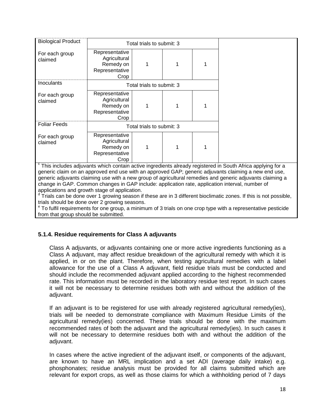| <b>Biological Product</b> | Total trials to submit: 3                                             |  |   |   |
|---------------------------|-----------------------------------------------------------------------|--|---|---|
| For each group<br>claimed | Representative<br>Agricultural<br>Remedy on<br>Representative<br>Crop |  |   |   |
| Inoculants                | Total trials to submit: 3                                             |  |   |   |
| For each group<br>claimed | Representative<br>Agricultural<br>Remedy on<br>Representative<br>Crop |  | 1 | 1 |
| <b>Foliar Feeds</b>       | Total trials to submit: 3                                             |  |   |   |
| For each group<br>claimed | Representative<br>Agricultural<br>Remedy on<br>Representative<br>Crop |  |   |   |

c This includes adjuvants which contain active ingredients already registered in South Africa applying for a generic claim on an approved end use with an approved GAP; generic adjuvants claiming a new end use, generic adjuvants claiming use with a new group of agricultural remedies and generic adjuvants claiming a change in GAP. Common changes in GAP include: application rate, application interval, number of applications and growth stage of application.<br><sup>d</sup> Triels can be dane over 1 growing sessen i

Trials can be done over 1 growing season if these are in 3 different bioclimatic zones. If this is not possible, trials should be done over 2 growing seasons.

e To fulfil requirements for one group, a minimum of 3 trials on one crop type with a representative pesticide from that group should be submitted.

### **5.1.4. Residue requirements for Class A adjuvants**

Class A adjuvants, or adjuvants containing one or more active ingredients functioning as a Class A adjuvant, may affect residue breakdown of the agricultural remedy with which it is applied, in or on the plant. Therefore, when testing agricultural remedies with a label allowance for the use of a Class A adjuvant, field residue trials must be conducted and should include the recommended adjuvant applied according to the highest recommended rate. This information must be recorded in the laboratory residue test report. In such cases it will not be necessary to determine residues both with and without the addition of the adiuvant.

If an adjuvant is to be registered for use with already registered agricultural remedy(ies), trials will be needed to demonstrate compliance with Maximum Residue Limits of the agricultural remedy(ies) concerned. These trials should be done with the maximum recommended rates of both the adjuvant and the agricultural remedy(ies). In such cases it will not be necessary to determine residues both with and without the addition of the adjuvant.

In cases where the active ingredient of the adjuvant itself, or components of the adjuvant, are known to have an MRL implication and a set ADI (average daily intake) e.g. phosphonates; residue analysis must be provided for all claims submitted which are relevant for export crops, as well as those claims for which a withholding period of 7 days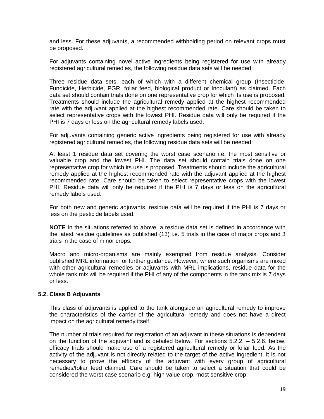and less. For these adjuvants, a recommended withholding period on relevant crops must be proposed.

For adjuvants containing novel active ingredients being registered for use with already registered agricultural remedies, the following residue data sets will be needed:

Three residue data sets, each of which with a different chemical group (Insecticide, Fungicide, Herbicide, PGR, foliar feed, biological product or Inoculant) as claimed. Each data set should contain trials done on one representative crop for which its use is proposed. Treatments should include the agricultural remedy applied at the highest recommended rate with the adjuvant applied at the highest recommended rate. Care should be taken to select representative crops with the lowest PHI. Residue data will only be required if the PHI is 7 days or less on the agricultural remedy labels used.

For adjuvants containing generic active ingredients being registered for use with already registered agricultural remedies, the following residue data sets will be needed:

At least 1 residue data set covering the worst case scenario i.e. the most sensitive or valuable crop and the lowest PHI. The data set should contain trials done on one representative crop for which its use is proposed. Treatments should include the agricultural remedy applied at the highest recommended rate with the adjuvant applied at the highest recommended rate. Care should be taken to select representative crops with the lowest PHI. Residue data will only be required if the PHI is 7 days or less on the agricultural remedy labels used.

For both new and generic adjuvants, residue data will be required if the PHI is 7 days or less on the pesticide labels used.

**NOTE** In the situations referred to above, a residue data set is defined in accordance with the latest residue guidelines as published (13) i.e. 5 trials in the case of major crops and 3 trials in the case of minor crops.

Macro and micro-organisms are mainly exempted from residue analysis. Consider published MRL information for further guidance. However, where such organisms are mixed with other agricultural remedies or adjuvants with MRL implications, residue data for the whole tank mix will be required if the PHI of any of the components in the tank mix is 7 days or less.

#### **5.2. Class B Adjuvants**

This class of adjuvants is applied to the tank alongside an agricultural remedy to improve the characteristics of the carrier of the agricultural remedy and does not have a direct impact on the agricultural remedy itself.

The number of trials required for registration of an adjuvant in these situations is dependent on the function of the adjuvant and is detailed below. For sections 5.2.2. – 5.2.6. below, efficacy trials should make use of a registered agricultural remedy or foliar feed. As the activity of the adjuvant is not directly related to the target of the active ingredient, it is not necessary to prove the efficacy of the adjuvant with every group of agricultural remedies/foliar feed claimed. Care should be taken to select a situation that could be considered the worst case scenario e.g. high value crop, most sensitive crop.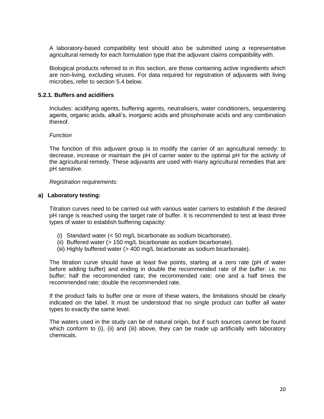A laboratory-based compatibility test should also be submitted using a representative agricultural remedy for each formulation type that the adjuvant claims compatibility with.

Biological products referred to in this section, are those containing active ingredients which are non-living, excluding viruses. For data required for registration of adjuvants with living microbes, refer to section 5.4 below.

#### **5.2.1. Buffers and acidifiers**

Includes: acidifying agents, buffering agents, neutralisers, water conditioners, sequestering agents, organic acids, alkali's, inorganic acids and phosphonate acids and any combination thereof.

#### *Function*

The function of this adjuvant group is to modify the carrier of an agricultural remedy: to decrease, increase or maintain the pH of carrier water to the optimal pH for the activity of the agricultural remedy. These adjuvants are used with many agricultural remedies that are pH sensitive.

#### *Registration requirements:*

#### **a) Laboratory testing:**

Titration curves need to be carried out with various water carriers to establish if the desired pH range is reached using the target rate of buffer. It is recommended to test at least three types of water to establish buffering capacity:

- (i) Standard water (< 50 mg/L bicarbonate as sodium bicarbonate).
- (ii) Buffered water (> 150 mg/L bicarbonate as sodium bicarbonate).
- (iii) Highly buffered water (> 400 mg/L bicarbonate as sodium bicarbonate).

The titration curve should have at least five points, starting at a zero rate (pH of water before adding buffer) and ending in double the recommended rate of the buffer: i.e. no buffer; half the recommended rate; the recommended rate; one and a half times the recommended rate; double the recommended rate.

If the product fails to buffer one or more of these waters, the limitations should be clearly indicated on the label. It must be understood that no single product can buffer all water types to exactly the same level.

The waters used in the study can be of natural origin, but if such sources cannot be found which conform to (i), (ii) and (iii) above, they can be made up artificially with laboratory chemicals.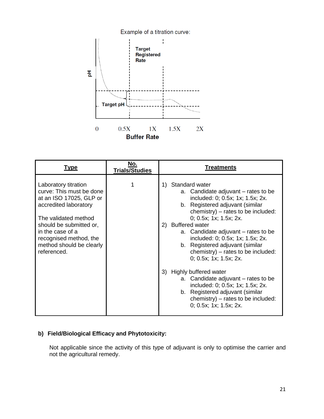

| <u>Type</u>                                                                                                                                                                                                                                      | No.<br><b>Trials/Studies</b> | <b>Treatments</b>                                                                                                                                                                                                                                                                                                                                                                                                                                                                                                                                                                                                               |
|--------------------------------------------------------------------------------------------------------------------------------------------------------------------------------------------------------------------------------------------------|------------------------------|---------------------------------------------------------------------------------------------------------------------------------------------------------------------------------------------------------------------------------------------------------------------------------------------------------------------------------------------------------------------------------------------------------------------------------------------------------------------------------------------------------------------------------------------------------------------------------------------------------------------------------|
| Laboratory titration<br>curve: This must be done<br>at an ISO 17025, GLP or<br>accredited laboratory<br>The validated method<br>should be submitted or,<br>in the case of a<br>recognised method, the<br>method should be clearly<br>referenced. |                              | Standard water<br>1)<br>a. Candidate adjuvant – rates to be<br>included: 0; 0.5x; 1x; 1.5x; 2x.<br>b. Registered adjuvant (similar<br>chemistry) $-$ rates to be included:<br>0; 0.5x; 1x; 1.5x; 2x.<br><b>Buffered water</b><br>(2)<br>a. Candidate adjuvant – rates to be<br>included: 0; 0.5x; 1x; 1.5x; 2x.<br>b. Registered adjuvant (similar<br>chemistry) – rates to be included:<br>0; 0.5x; 1x; 1.5x; 2x.<br>Highly buffered water<br>3)<br>a. Candidate adjuvant – rates to be<br>included: 0; 0.5x; 1x; 1.5x; 2x.<br>b. Registered adjuvant (similar<br>chemistry) – rates to be included:<br>0; 0.5x; 1x; 1.5x; 2x. |

# **b) Field/Biological Efficacy and Phytotoxicity:**

Not applicable since the activity of this type of adjuvant is only to optimise the carrier and not the agricultural remedy.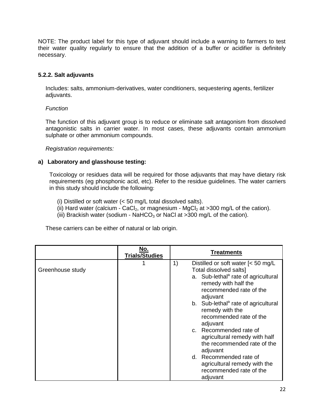NOTE: The product label for this type of adjuvant should include a warning to farmers to test their water quality regularly to ensure that the addition of a buffer or acidifier is definitely necessary.

#### **5.2.2. Salt adjuvants**

Includes: salts, ammonium-derivatives, water conditioners, sequestering agents, fertilizer adjuvants.

#### *Function*

The function of this adjuvant group is to reduce or eliminate salt antagonism from dissolved antagonistic salts in carrier water. In most cases, these adjuvants contain ammonium sulphate or other ammonium compounds.

*Registration requirements:*

#### **a) Laboratory and glasshouse testing:**

Toxicology or residues data will be required for those adjuvants that may have dietary risk requirements (eg phosphonic acid, etc). Refer to the residue guidelines. The water carriers in this study should include the following:

(i) Distilled or soft water (< 50 mg/L total dissolved salts).

- (ii) Hard water (calcium CaCl<sub>2</sub>, or magnesium MgCl<sub>2</sub> at >300 mg/L of the cation).
- (iii) Brackish water (sodium NaHCO<sub>3</sub> or NaCl at  $>300$  mg/L of the cation).

These carriers can be either of natural or lab origin.

|                  | No.<br><b>Trials/Studies</b> | Treatments                                                                                                                                                                                                                                                                                                                                                                                                                                                                                                   |
|------------------|------------------------------|--------------------------------------------------------------------------------------------------------------------------------------------------------------------------------------------------------------------------------------------------------------------------------------------------------------------------------------------------------------------------------------------------------------------------------------------------------------------------------------------------------------|
| Greenhouse study |                              | 1)<br>Distilled or soft water $\leq 50$ mg/L<br>Total dissolved salts]<br>a. Sub-lethal <sup>a</sup> rate of agricultural<br>remedy with half the<br>recommended rate of the<br>adjuvant<br>b. Sub-lethal <sup>a</sup> rate of agricultural<br>remedy with the<br>recommended rate of the<br>adjuvant<br>c. Recommended rate of<br>agricultural remedy with half<br>the recommended rate of the<br>adjuvant<br>d. Recommended rate of<br>agricultural remedy with the<br>recommended rate of the<br>adjuvant |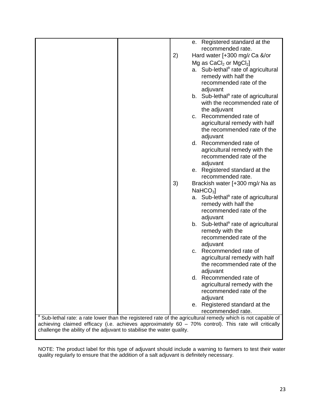|                                                                                                                        |    | e. Registered standard at the                   |  |
|------------------------------------------------------------------------------------------------------------------------|----|-------------------------------------------------|--|
|                                                                                                                        |    | recommended rate.                               |  |
|                                                                                                                        | 2) | Hard water [+300 mg/ $\ell$ Ca &/or             |  |
|                                                                                                                        |    | Mg as $CaCl2$ or MgCl <sub>2</sub> ]            |  |
|                                                                                                                        |    | a. Sub-lethal <sup>a</sup> rate of agricultural |  |
|                                                                                                                        |    | remedy with half the                            |  |
|                                                                                                                        |    | recommended rate of the                         |  |
|                                                                                                                        |    | adjuvant                                        |  |
|                                                                                                                        |    | b. Sub-lethal <sup>a</sup> rate of agricultural |  |
|                                                                                                                        |    | with the recommended rate of                    |  |
|                                                                                                                        |    | the adjuvant                                    |  |
|                                                                                                                        |    | c. Recommended rate of                          |  |
|                                                                                                                        |    | agricultural remedy with half                   |  |
|                                                                                                                        |    | the recommended rate of the<br>adjuvant         |  |
|                                                                                                                        |    | d. Recommended rate of                          |  |
|                                                                                                                        |    | agricultural remedy with the                    |  |
|                                                                                                                        |    | recommended rate of the                         |  |
|                                                                                                                        |    | adjuvant                                        |  |
|                                                                                                                        |    | e. Registered standard at the                   |  |
|                                                                                                                        |    | recommended rate.                               |  |
|                                                                                                                        | 3) | Brackish water [+300 mg/e Na as                 |  |
|                                                                                                                        |    | NaHCO <sub>3</sub>                              |  |
|                                                                                                                        |    | a. Sub-lethal <sup>a</sup> rate of agricultural |  |
|                                                                                                                        |    | remedy with half the                            |  |
|                                                                                                                        |    | recommended rate of the                         |  |
|                                                                                                                        |    | adjuvant                                        |  |
|                                                                                                                        |    | b. Sub-lethal <sup>a</sup> rate of agricultural |  |
|                                                                                                                        |    | remedy with the                                 |  |
|                                                                                                                        |    | recommended rate of the                         |  |
|                                                                                                                        |    | adjuvant                                        |  |
|                                                                                                                        |    | c. Recommended rate of                          |  |
|                                                                                                                        |    | agricultural remedy with half                   |  |
|                                                                                                                        |    | the recommended rate of the                     |  |
|                                                                                                                        |    | adjuvant                                        |  |
|                                                                                                                        |    | d. Recommended rate of                          |  |
|                                                                                                                        |    | agricultural remedy with the                    |  |
|                                                                                                                        |    | recommended rate of the                         |  |
|                                                                                                                        |    | adjuvant                                        |  |
|                                                                                                                        |    | e. Registered standard at the                   |  |
| <sup>a</sup> Sub-lethal rate: a rate lower than the registered rate of the agricultural remedy which is not capable of |    | recommended rate.                               |  |
| achieving claimed efficacy (i.e. achieves approximately 60 - 70% control). This rate will critically                   |    |                                                 |  |
| challenge the ability of the adjuvant to stabilise the water quality.                                                  |    |                                                 |  |

NOTE: The product label for this type of adjuvant should include a warning to farmers to test their water quality regularly to ensure that the addition of a salt adjuvant is definitely necessary.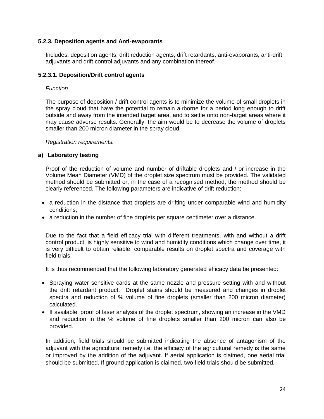#### **5.2.3. Deposition agents and Anti-evaporants**

Includes: deposition agents, drift reduction agents, drift retardants, anti-evaporants, anti-drift adjuvants and drift control adjuvants and any combination thereof.

#### **5.2.3.1. Deposition/Drift control agents**

#### *Function*

The purpose of deposition / drift control agents is to minimize the volume of small droplets in the spray cloud that have the potential to remain airborne for a period long enough to drift outside and away from the intended target area, and to settle onto non-target areas where it may cause adverse results. Generally, the aim would be to decrease the volume of droplets smaller than 200 micron diameter in the spray cloud.

*Registration requirements:*

#### **a) Laboratory testing**

Proof of the reduction of volume and number of driftable droplets and / or increase in the Volume Mean Diameter (VMD) of the droplet size spectrum must be provided. The validated method should be submitted or, in the case of a recognised method, the method should be clearly referenced. The following parameters are indicative of drift reduction:

- a reduction in the distance that droplets are drifting under comparable wind and humidity conditions,
- a reduction in the number of fine droplets per square centimeter over a distance.

Due to the fact that a field efficacy trial with different treatments, with and without a drift control product, is highly sensitive to wind and humidity conditions which change over time, it is very difficult to obtain reliable, comparable results on droplet spectra and coverage with field trials.

It is thus recommended that the following laboratory generated efficacy data be presented:

- Spraying water sensitive cards at the same nozzle and pressure setting with and without the drift retardant product. Droplet stains should be measured and changes in droplet spectra and reduction of % volume of fine droplets (smaller than 200 micron diameter) calculated.
- If available, proof of laser analysis of the droplet spectrum, showing an increase in the VMD and reduction in the % volume of fine droplets smaller than 200 micron can also be provided.

In addition, field trials should be submitted indicating the absence of antagonism of the adjuvant with the agricultural remedy i.e. the efficacy of the agricultural remedy is the same or improved by the addition of the adjuvant. If aerial application is claimed, one aerial trial should be submitted. If ground application is claimed, two field trials should be submitted.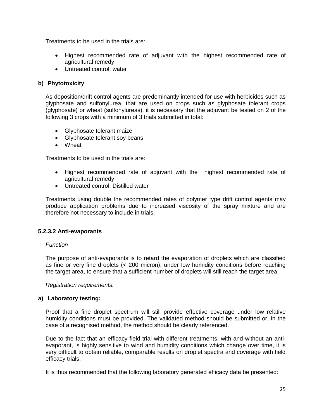Treatments to be used in the trials are:

- Highest recommended rate of adjuvant with the highest recommended rate of agricultural remedy
- Untreated control: water

#### **b) Phytotoxicity**

As deposition/drift control agents are predominantly intended for use with herbicides such as glyphosate and sulfonylurea, that are used on crops such as glyphosate tolerant crops (glyphosate) or wheat (sulfonylureas), it is necessary that the adjuvant be tested on 2 of the following 3 crops with a minimum of 3 trials submitted in total:

- Glyphosate tolerant maize
- Glyphosate tolerant soy beans
- Wheat

Treatments to be used in the trials are:

- Highest recommended rate of adjuvant with the highest recommended rate of agricultural remedy
- Untreated control: Distilled water

Treatments using double the recommended rates of polymer type drift control agents may produce application problems due to increased viscosity of the spray mixture and are therefore not necessary to include in trials.

#### **5.2.3.2 Anti-evaporants**

#### *Function*

The purpose of anti-evaporants is to retard the evaporation of droplets which are classified as fine or very fine droplets (< 200 micron), under low humidity conditions before reaching the target area, to ensure that a sufficient number of droplets will still reach the target area.

*Registration requirements:*

#### **a) Laboratory testing:**

Proof that a fine droplet spectrum will still provide effective coverage under low relative humidity conditions must be provided. The validated method should be submitted or, in the case of a recognised method, the method should be clearly referenced.

Due to the fact that an efficacy field trial with different treatments, with and without an antievaporant, is highly sensitive to wind and humidity conditions which change over time, it is very difficult to obtain reliable, comparable results on droplet spectra and coverage with field efficacy trials.

It is thus recommended that the following laboratory generated efficacy data be presented: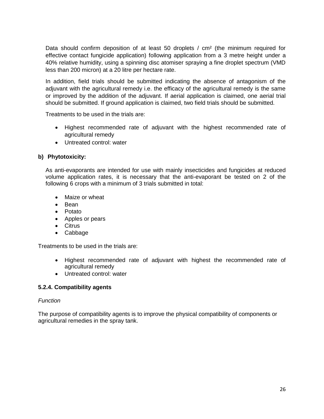Data should confirm deposition of at least 50 droplets / cm<sup>2</sup> (the minimum required for effective contact fungicide application) following application from a 3 metre height under a 40% relative humidity, using a spinning disc atomiser spraying a fine droplet spectrum (VMD less than 200 micron) at a 20 litre per hectare rate.

In addition, field trials should be submitted indicating the absence of antagonism of the adjuvant with the agricultural remedy i.e. the efficacy of the agricultural remedy is the same or improved by the addition of the adjuvant. If aerial application is claimed, one aerial trial should be submitted. If ground application is claimed, two field trials should be submitted.

Treatments to be used in the trials are:

- Highest recommended rate of adjuvant with the highest recommended rate of agricultural remedy
- Untreated control: water

#### **b) Phytotoxicity:**

As anti-evaporants are intended for use with mainly insecticides and fungicides at reduced volume application rates, it is necessary that the anti-evaporant be tested on 2 of the following 6 crops with a minimum of 3 trials submitted in total:

- Maize or wheat
- Bean
- Potato
- Apples or pears
- Citrus
- Cabbage

Treatments to be used in the trials are:

- Highest recommended rate of adjuvant with highest the recommended rate of agricultural remedy
- Untreated control: water

#### **5.2.4. Compatibility agents**

#### *Function*

The purpose of compatibility agents is to improve the physical compatibility of components or agricultural remedies in the spray tank.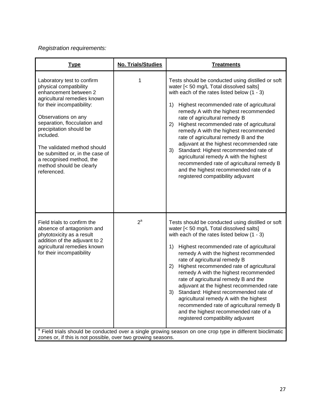# *Registration requirements:*

| <b>Type</b>                                                                                                                                                                                                                                                                                                                                                                        | No. Trials/Studies | <b>Treatments</b>                                                                                                                                                                                                                                                                                                                                                                                                                                                                                                                                                                                                                                                                                                                                                                                     |
|------------------------------------------------------------------------------------------------------------------------------------------------------------------------------------------------------------------------------------------------------------------------------------------------------------------------------------------------------------------------------------|--------------------|-------------------------------------------------------------------------------------------------------------------------------------------------------------------------------------------------------------------------------------------------------------------------------------------------------------------------------------------------------------------------------------------------------------------------------------------------------------------------------------------------------------------------------------------------------------------------------------------------------------------------------------------------------------------------------------------------------------------------------------------------------------------------------------------------------|
| Laboratory test to confirm<br>physical compatibility<br>enhancement between 2<br>agricultural remedies known<br>for their incompatibility:<br>Observations on any<br>separation, flocculation and<br>precipitation should be<br>included.<br>The validated method should<br>be submitted or, in the case of<br>a recognised method, the<br>method should be clearly<br>referenced. | 1                  | Tests should be conducted using distilled or soft<br>water [< 50 mg/L Total dissolved salts]<br>with each of the rates listed below $(1 - 3)$<br>1)<br>Highest recommended rate of agricultural<br>remedy A with the highest recommended<br>rate of agricultural remedy B<br>2)<br>Highest recommended rate of agricultural<br>remedy A with the highest recommended<br>rate of agricultural remedy B and the<br>adjuvant at the highest recommended rate<br>Standard: Highest recommended rate of<br>3)<br>agricultural remedy A with the highest<br>recommended rate of agricultural remedy B<br>and the highest recommended rate of a<br>registered compatibility adjuvant                                                                                                                         |
| Field trials to confirm the<br>absence of antagonism and<br>phytotoxicity as a result<br>addition of the adjuvant to 2<br>agricultural remedies known<br>for their incompatibility                                                                                                                                                                                                 | $2^a$              | Tests should be conducted using distilled or soft<br>water [< 50 mg/L Total dissolved salts]<br>with each of the rates listed below $(1 - 3)$<br>1)<br>Highest recommended rate of agricultural<br>remedy A with the highest recommended<br>rate of agricultural remedy B<br>Highest recommended rate of agricultural<br>2)<br>remedy A with the highest recommended<br>rate of agricultural remedy B and the<br>adjuvant at the highest recommended rate<br>3)<br>Standard: Highest recommended rate of<br>agricultural remedy A with the highest<br>recommended rate of agricultural remedy B<br>and the highest recommended rate of a<br>registered compatibility adjuvant<br><sup>a</sup> Field trials should be conducted over a single growing season on one crop type in different bioclimatic |
| zones or, if this is not possible, over two growing seasons.                                                                                                                                                                                                                                                                                                                       |                    |                                                                                                                                                                                                                                                                                                                                                                                                                                                                                                                                                                                                                                                                                                                                                                                                       |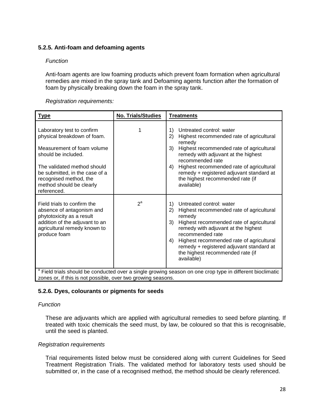#### **5.2.5. Anti-foam and defoaming agents**

#### *Function*

Anti-foam agents are low foaming products which prevent foam formation when agricultural remedies are mixed in the spray tank and Defoaming agents function after the formation of foam by physically breaking down the foam in the spray tank.

#### *Registration requirements:*

| <b>Type</b>                                                                                                                                                                                                                                          | <b>No. Trials/Studies</b> | <b>Treatments</b>                                                                                                                                                                                                                                                                                                                                       |  |
|------------------------------------------------------------------------------------------------------------------------------------------------------------------------------------------------------------------------------------------------------|---------------------------|---------------------------------------------------------------------------------------------------------------------------------------------------------------------------------------------------------------------------------------------------------------------------------------------------------------------------------------------------------|--|
| Laboratory test to confirm<br>physical breakdown of foam.<br>Measurement of foam volume<br>should be included.<br>The validated method should<br>be submitted, in the case of a<br>recognised method, the<br>method should be clearly<br>referenced. |                           | Untreated control: water<br>1)<br>2)<br>Highest recommended rate of agricultural<br>remedy<br>3)<br>Highest recommended rate of agricultural<br>remedy with adjuvant at the highest<br>recommended rate<br>Highest recommended rate of agricultural<br>4)<br>remedy + registered adjuvant standard at<br>the highest recommended rate (if<br>available) |  |
| Field trials to confirm the<br>absence of antagonism and<br>phytotoxicity as a result<br>addition of the adjuvant to an<br>agricultural remedy known to<br>produce foam                                                                              | $2^a$                     | Untreated control: water<br>1)<br>2)<br>Highest recommended rate of agricultural<br>remedy<br>Highest recommended rate of agricultural<br>3)<br>remedy with adjuvant at the highest<br>recommended rate<br>Highest recommended rate of agricultural<br>4)<br>remedy + registered adjuvant standard at<br>the highest recommended rate (if<br>available) |  |
| <sup>a</sup> Field trials should be conducted over a single growing season on one crop type in different bioclimatic<br>zones or, if this is not possible, over two growing seasons.                                                                 |                           |                                                                                                                                                                                                                                                                                                                                                         |  |

#### **5.2.6. Dyes, colourants or pigments for seeds**

#### *Function*

These are adjuvants which are applied with agricultural remedies to seed before planting. If treated with toxic chemicals the seed must, by law, be coloured so that this is recognisable, until the seed is planted.

#### *Registration requirements*

Trial requirements listed below must be considered along with current Guidelines for Seed Treatment Registration Trials. The validated method for laboratory tests used should be submitted or, in the case of a recognised method, the method should be clearly referenced.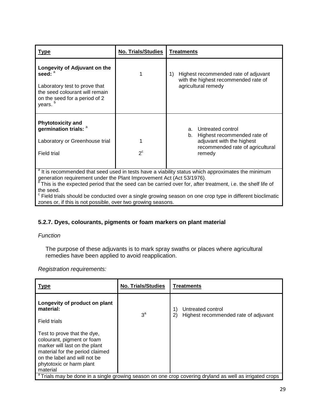| <u>Type</u>                                                                                                                                                                                                                                                                                                                    | <b>No. Trials/Studies</b> | <b>Treatments</b>                                                                                                                       |  |
|--------------------------------------------------------------------------------------------------------------------------------------------------------------------------------------------------------------------------------------------------------------------------------------------------------------------------------|---------------------------|-----------------------------------------------------------------------------------------------------------------------------------------|--|
| Longevity of Adjuvant on the<br>seed: <sup>a</sup><br>Laboratory test to prove that<br>the seed colourant will remain<br>on the seed for a period of 2<br>years. <sup>b</sup>                                                                                                                                                  |                           | Highest recommended rate of adjuvant<br>1)<br>with the highest recommended rate of<br>agricultural remedy                               |  |
| <b>Phytotoxicity and</b><br>germination trials: a<br>Laboratory or Greenhouse trial<br><b>Field trial</b>                                                                                                                                                                                                                      | $2^{\circ}$               | Untreated control<br>a.<br>Highest recommended rate of<br>b.<br>adjuvant with the highest<br>recommended rate of agricultural<br>remedy |  |
| <sup>a</sup> It is recommended that seed used in tests have a viability status which approximates the minimum<br>generation requirement under the Plant Improvement Act (Act 53/1976).<br>$\textdegree$ This is the expected period that the seed can be carried over for, after treatment, i.e. the shelf life of<br>the seed |                           |                                                                                                                                         |  |

the seed.<br><sup>c</sup> Field trials should be conducted over a single growing season on one crop type in different bioclimatic zones or, if this is not possible, over two growing seasons.

# **5.2.7. Dyes, colourants, pigments or foam markers on plant material**

#### *Function*

The purpose of these adjuvants is to mark spray swaths or places where agricultural remedies have been applied to avoid reapplication.

*Registration requirements:*

| <u>Type</u>                                                                                                                                                                                           | <b>No. Trials/Studies</b> | <b>Treatments</b>                                                     |  |
|-------------------------------------------------------------------------------------------------------------------------------------------------------------------------------------------------------|---------------------------|-----------------------------------------------------------------------|--|
| Longevity of product on plant<br>material:<br>Field trials                                                                                                                                            | $3^a$                     | Untreated control<br>1)<br>2)<br>Highest recommended rate of adjuvant |  |
| Test to prove that the dye,<br>colourant, pigment or foam<br>marker will last on the plant<br>material for the period claimed<br>on the label and will not be<br>phytotoxic or harm plant<br>material |                           |                                                                       |  |
| <sup>a</sup> Trials may be done in a single growing season on one crop covering dryland as well as irrigated crops                                                                                    |                           |                                                                       |  |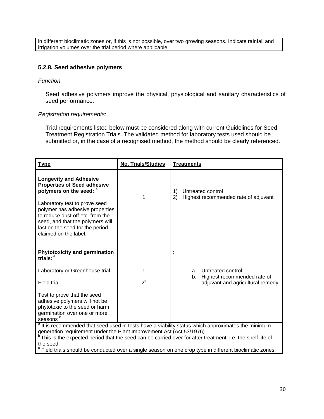in different bioclimatic zones or, if this is not possible, over two growing seasons. Indicate rainfall and irrigation volumes over the trial period where applicable.

#### **5.2.8. Seed adhesive polymers**

#### *Function*

Seed adhesive polymers improve the physical, physiological and sanitary characteristics of seed performance.

#### *Registration requirements*:

Trial requirements listed below must be considered along with current Guidelines for Seed Treatment Registration Trials. The validated method for laboratory tests used should be submitted or, in the case of a recognised method, the method should be clearly referenced.

| <b>Type</b>                                                                                                                                                                                                                                                                                                       | <b>No. Trials/Studies</b> | <b>Treatments</b>                                                     |  |
|-------------------------------------------------------------------------------------------------------------------------------------------------------------------------------------------------------------------------------------------------------------------------------------------------------------------|---------------------------|-----------------------------------------------------------------------|--|
| <b>Longevity and Adhesive</b><br><b>Properties of Seed adhesive</b><br>polymers on the seed: <sup>a</sup><br>Laboratory test to prove seed<br>polymer has adhesive properties<br>to reduce dust off etc. from the<br>seed, and that the polymers will<br>last on the seed for the period<br>claimed on the label. |                           | 1)<br>Untreated control<br>2)<br>Highest recommended rate of adjuvant |  |
| <b>Phytotoxicity and germination</b><br>trials: $a$                                                                                                                                                                                                                                                               |                           |                                                                       |  |
| Laboratory or Greenhouse trial                                                                                                                                                                                                                                                                                    | 1                         | Untreated control<br>a.                                               |  |
| <b>Field trial</b>                                                                                                                                                                                                                                                                                                | $2^{\circ}$               | Highest recommended rate of<br>b.<br>adjuvant and agricultural remedy |  |
| Test to prove that the seed<br>adhesive polymers will not be<br>phytotoxic to the seed or harm<br>germination over one or more<br>seasons <sup>t</sup>                                                                                                                                                            |                           |                                                                       |  |
| <sup>a</sup> It is recommended that seed used in tests have a viability status which approximates the minimum<br>generation requirement under the Plant Improvement Act (Act 53/1976).                                                                                                                            |                           |                                                                       |  |
| This is the expected period that the seed can be carried over for after treatment, i.e. the shelf life of<br>the seed.                                                                                                                                                                                            |                           |                                                                       |  |
| Field trials should be conducted over a single season on one crop type in different bioclimatic zones.                                                                                                                                                                                                            |                           |                                                                       |  |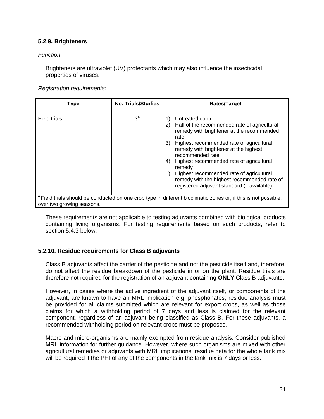#### **5.2.9. Brighteners**

#### *Function*

Brighteners are ultraviolet (UV) protectants which may also influence the insecticidal properties of viruses.

*Registration requirements:*

| <b>Type</b>               | <b>No. Trials/Studies</b> | <b>Rates/Target</b>                                                                                                                                                                                                                                                                                                                                                                                                                                           |
|---------------------------|---------------------------|---------------------------------------------------------------------------------------------------------------------------------------------------------------------------------------------------------------------------------------------------------------------------------------------------------------------------------------------------------------------------------------------------------------------------------------------------------------|
| Field trials              | $3^a$                     | Untreated control<br>1)<br>Half of the recommended rate of agricultural<br>2)<br>remedy with brightener at the recommended<br>rate<br>Highest recommended rate of agricultural<br>3)<br>remedy with brightener at the highest<br>recommended rate<br>Highest recommended rate of agricultural<br>4)<br>remedy<br>Highest recommended rate of agricultural<br>5)<br>remedy with the highest recommended rate of<br>registered adjuvant standard (if available) |
| over two growing seasons. |                           | <sup>a</sup> Field trials should be conducted on one crop type in different bioclimatic zones or, if this is not possible,                                                                                                                                                                                                                                                                                                                                    |

These requirements are not applicable to testing adjuvants combined with biological products containing living organisms. For testing requirements based on such products, refer to section 5.4.3 below.

#### **5.2.10. Residue requirements for Class B adjuvants**

Class B adjuvants affect the carrier of the pesticide and not the pesticide itself and, therefore, do not affect the residue breakdown of the pesticide in or on the plant. Residue trials are therefore not required for the registration of an adjuvant containing **ONLY** Class B adjuvants.

However, in cases where the active ingredient of the adjuvant itself, or components of the adjuvant, are known to have an MRL implication e.g. phosphonates; residue analysis must be provided for all claims submitted which are relevant for export crops, as well as those claims for which a withholding period of 7 days and less is claimed for the relevant component, regardless of an adjuvant being classified as Class B. For these adjuvants, a recommended withholding period on relevant crops must be proposed.

Macro and micro-organisms are mainly exempted from residue analysis. Consider published MRL information for further guidance. However, where such organisms are mixed with other agricultural remedies or adjuvants with MRL implications, residue data for the whole tank mix will be required if the PHI of any of the components in the tank mix is 7 days or less.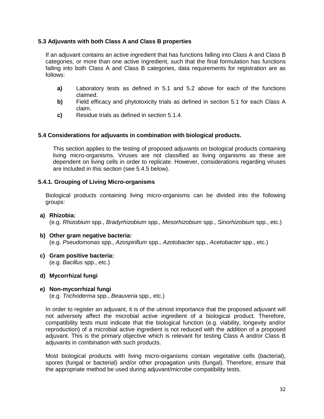#### **5.3 Adjuvants with both Class A and Class B properties**

If an adjuvant contains an active ingredient that has functions falling into Class A and Class B categories, or more than one active ingredient, such that the final formulation has functions falling into both Class A and Class B categories, data requirements for registration are as follows:

- **a)** Laboratory tests as defined in 5.1 and 5.2 above for each of the functions claimed.
- **b)** Field efficacy and phytotoxicity trials as defined in section 5.1 for each Class A claim.
- **c)** Residue trials as defined in section 5.1.4.

#### **5.4 Considerations for adjuvants in combination with biological products.**

This section applies to the testing of proposed adjuvants on biological products containing living micro-organisms. Viruses are not classified as living organisms as these are dependent on living cells in order to replicate. However, considerations regarding viruses are included in this section (see 5.4.5 below).

#### **5.4.1. Grouping of Living Micro-organisms**

Biological products containing living micro-organisms can be divided into the following groups:

# **a) Rhizobia:**

(e.g. *Rhizobium* spp., *Bradyrhizobium* spp.*, Mesorhizobium* spp., *Sinorhizobium* spp., etc.)

- **b) Other gram negative bacteria:** (e.g. *Pseudomonas* spp.*, Azospirillum* spp.*, Azotobacter* spp., *Acetobacter* spp., etc.)
- **c) Gram positive bacteria:** (e.g. *Bacillus* spp., etc.)
- **d) Mycorrhizal fungi**

#### **e) Non-mycorrhizal fungi**

(e.g. *Trichoderma* spp., *Beauveria* spp., etc.)

In order to register an adjuvant, it is of the utmost importance that the proposed adjuvant will not adversely affect the microbial active ingredient of a biological product. Therefore, compatibility tests must indicate that the biological function (e.g. viability, longevity and/or reproduction) of a microbial active ingredient is not reduced with the addition of a proposed adjuvant. This is the primary objective which is relevant for testing Class A and/or Class B adjuvants in combination with such products.

Most biological products with living micro-organisms contain vegetative cells (bacterial), spores (fungal or bacterial) and/or other propagation units (fungal). Therefore, ensure that the appropriate method be used during adjuvant/microbe compatibility tests.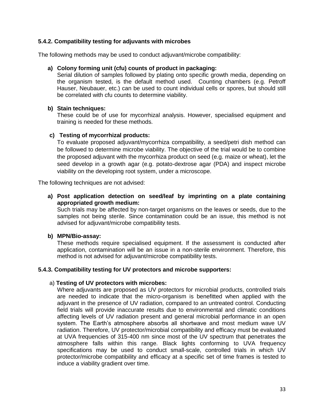#### **5.4.2. Compatibility testing for adjuvants with microbes**

The following methods may be used to conduct adjuvant/microbe compatibility:

#### **a) Colony forming unit (cfu) counts of product in packaging:**

Serial dilution of samples followed by plating onto specific growth media, depending on the organism tested, is the default method used. Counting chambers (e.g. Petroff Hauser, Neubauer, etc.) can be used to count individual cells or spores, but should still be correlated with cfu counts to determine viability.

#### **b) Stain techniques:**

These could be of use for mycorrhizal analysis. However, specialised equipment and training is needed for these methods.

#### **c) Testing of mycorrhizal products:**

To evaluate proposed adjuvant/mycorrhiza compatibility, a seed/petri dish method can be followed to determine microbe viability. The objective of the trial would be to combine the proposed adjuvant with the mycorrhiza product on seed (e.g. maize or wheat), let the seed develop in a growth agar (e.g. potato-dextrose agar (PDA) and inspect microbe viability on the developing root system, under a microscope.

The following techniques are not advised:

**a) Post application detection on seed/leaf by imprinting on a plate containing appropriated growth medium:** 

Such trials may be affected by non-target organisms on the leaves or seeds, due to the samples not being sterile. Since contamination could be an issue, this method is not advised for adjuvant/microbe compatibility tests.

#### **b) MPN/Bio-assay:**

These methods require specialised equipment. If the assessment is conducted after application, contamination will be an issue in a non-sterile environment. Therefore, this method is not advised for adjuvant/microbe compatibility tests.

#### **5.4.3. Compatibility testing for UV protectors and microbe supporters:**

#### a) **Testing of UV protectors with microbes:**

Where adjuvants are proposed as UV protectors for microbial products, controlled trials are needed to indicate that the micro-organism is benefitted when applied with the adjuvant in the presence of UV radiation, compared to an untreated control. Conducting field trials will provide inaccurate results due to environmental and climatic conditions affecting levels of UV radiation present and general microbial performance in an open system. The Earth's atmosphere absorbs all shortwave and most medium wave UV radiation. Therefore, UV protector/microbial compatibility and efficacy must be evaluated at UVA frequencies of 315-400 nm since most of the UV spectrum that penetrates the atmosphere falls within this range. Black lights conforming to UVA frequency specifications may be used to conduct small-scale, controlled trials in which UV protector/microbe compatibility and efficacy at a specific set of time frames is tested to induce a viability gradient over time.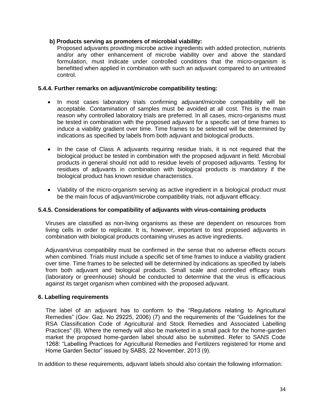#### **b) Products serving as promoters of microbial viability:**

Proposed adjuvants providing microbe active ingredients with added protection, nutrients and/or any other enhancement of microbe viability over and above the standard formulation, must indicate under controlled conditions that the micro-organism is benefitted when applied in combination with such an adjuvant compared to an untreated control.

#### **5.4.4. Further remarks on adjuvant/microbe compatibility testing:**

- In most cases laboratory trials confirming adjuvant/microbe compatibility will be acceptable. Contamination of samples must be avoided at all cost. This is the main reason why controlled laboratory trials are preferred. In all cases, micro-organisms must be tested in combination with the proposed adjuvant for a specific set of time frames to induce a viability gradient over time. Time frames to be selected will be determined by indications as specified by labels from both adjuvant and biological products.
- In the case of Class A adjuvants requiring residue trials, it is not required that the biological product be tested in combination with the proposed adjuvant in field. Microbial products in general should not add to residue levels of proposed adjuvants. Testing for residues of adjuvants in combination with biological products is mandatory if the biological product has known residue characteristics.
- Viability of the micro-organism serving as active ingredient in a biological product must be the main focus of adjuvant/microbe compatibility trials, not adjuvant efficacy.

#### **5.4.5. Considerations for compatibility of adjuvants with virus-containing products**

Viruses are classified as non-living organisms as these are dependent on resources from living cells in order to replicate. It is, however, important to test proposed adjuvants in combination with biological products containing viruses as active ingredients.

Adjuvant/virus compatibility must be confirmed in the sense that no adverse effects occurs when combined. Trials must include a specific set of time frames to induce a viability gradient over time. Time frames to be selected will be determined by indications as specified by labels from both adjuvant and biological products. Small scale and controlled efficacy trials (laboratory or greenhouse) should be conducted to determine that the virus is efficacious against its target organism when combined with the proposed adjuvant.

#### **6. Labelling requirements**

The label of an adjuvant has to conform to the "Regulations relating to Agricultural Remedies" (Gov. Gaz. No 29225, 2006) (7) and the requirements of the "Guidelines for the RSA Classification Code of Agricultural and Stock Remedies and Associated Labelling Practices" (8). Where the remedy will also be marketed in a small pack for the home-garden market the proposed home-garden label should also be submitted. Refer to SANS Code 1268: "Labelling Practices for Agricultural Remedies and Fertilizers registered for Home and Home Garden Sector" issued by SABS, 22 November, 2013 (9).

In addition to these requirements, adjuvant labels should also contain the following information: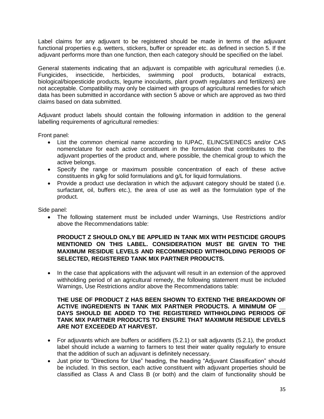Label claims for any adjuvant to be registered should be made in terms of the adjuvant functional properties e.g. wetters, stickers, buffer or spreader etc. as defined in section 5. If the adjuvant performs more than one function, then each category should be specified on the label.

General statements indicating that an adjuvant is compatible with agricultural remedies (i.e. Fungicides, insecticide, herbicides, swimming pool products, botanical extracts, biological/biopesticide products, legume inoculants, plant growth regulators and fertilizers) are not acceptable. Compatibility may only be claimed with groups of agricultural remedies for which data has been submitted in accordance with section 5 above or which are approved as two third claims based on data submitted.

Adjuvant product labels should contain the following information in addition to the general labelling requirements of agricultural remedies:

Front panel:

- List the common chemical name according to IUPAC, ELINCS/EINECS and/or CAS nomenclature for each active constituent in the formulation that contributes to the adjuvant properties of the product and, where possible, the chemical group to which the active belongs.
- Specify the range or maximum possible concentration of each of these active constituents in g/kg for solid formulations and g/L for liquid formulations.
- Provide a product use declaration in which the adjuvant category should be stated (i.e. surfactant, oil, buffers etc.), the area of use as well as the formulation type of the product.

Side panel:

 The following statement must be included under Warnings, Use Restrictions and/or above the Recommendations table:

#### **PRODUCT Z SHOULD ONLY BE APPLIED IN TANK MIX WITH PESTICIDE GROUPS MENTIONED ON THIS LABEL. CONSIDERATION MUST BE GIVEN TO THE MAXIMUM RESIDUE LEVELS AND RECOMMENDED WITHHOLDING PERIODS OF SELECTED, REGISTERED TANK MIX PARTNER PRODUCTS.**

• In the case that applications with the adjuvant will result in an extension of the approved withholding period of an agricultural remedy, the following statement must be included Warnings, Use Restrictions and/or above the Recommendations table:

#### **THE USE OF PRODUCT Z HAS BEEN SHOWN TO EXTEND THE BREAKDOWN OF ACTIVE INGREDIENTS IN TANK MIX PARTNER PRODUCTS. A MINIMUM OF \_\_ DAYS SHOULD BE ADDED TO THE REGISTERED WITHHOLDING PERIODS OF TANK MIX PARTNER PRODUCTS TO ENSURE THAT MAXIMUM RESIDUE LEVELS ARE NOT EXCEEDED AT HARVEST.**

- For adjuvants which are buffers or acidifiers (5.2.1) or salt adjuvants (5.2.1), the product label should include a warning to farmers to test their water quality regularly to ensure that the addition of such an adjuvant is definitely necessary.
- Just prior to "Directions for Use" heading, the heading "Adjuvant Classification" should be included. In this section, each active constituent with adjuvant properties should be classified as Class A and Class B (or both) and the claim of functionality should be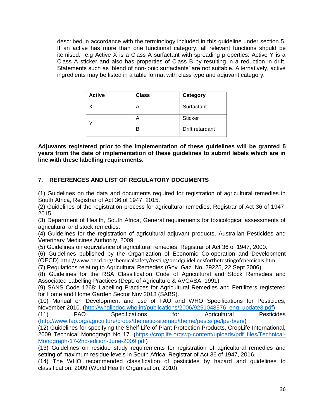described in accordance with the terminology included in this guideline under section 5. If an active has more than one functional category, all relevant functions should be itemised. e.g Active X is a Class A surfactant with spreading properties. Active Y is a Class A sticker and also has properties of Class B by resulting in a reduction in drift. Statements such as 'blend of non-ionic surfactants' are not suitable. Alternatively, active ingredients may be listed in a table format with class type and adjuvant category.

| <b>Active</b> | <b>Class</b> | Category        |
|---------------|--------------|-----------------|
|               |              | Surfactant      |
|               | Α            | <b>Sticker</b>  |
|               | R            | Drift retardant |

**Adjuvants registered prior to the implementation of these guidelines will be granted 5 years from the date of implementation of these guidelines to submit labels which are in line with these labelling requirements.**

# **7. REFERENCES AND LIST OF REGULATORY DOCUMENTS**

(1) Guidelines on the data and documents required for registration of agricultural remedies in South Africa, Registrar of Act 36 of 1947, 2015.

(2) Guidelines of the registration process for agricultural remedies, Registrar of Act 36 of 1947, 2015.

(3) Department of Health, South Africa, General requirements for toxicological assessments of agricultural and stock remedies.

(4) Guidelines for the registration of agricultural adjuvant products, Australian Pesticides and Veterinary Medicines Authority, 2009.

(5) Guidelines on equivalence of agricultural remedies, Registrar of Act 36 of 1947, 2000.

(6) Guidelines published by the Organization of Economic Co-operation and Development (OECD) http://www.oecd.org/chemicalsafety/testing/oecdguidelinesforthetestingofchemicals.htm.

(7) Regulations relating to Agricultural Remedies (Gov. Gaz. No. 29225, 22 Sept 2006).

(8) Guidelines for the RSA Classification Code of Agricultural and Stock Remedies and Associated Labelling Practices (Dept. of Agriculture & AVCASA, 1991).

(9) SANS Code 1268: Labelling Practices for Agricultural Remedies and Fertilizers registered for Home and Home Garden Sector Nov 2013 (SABS).

(10) Manual on Development and use of FAO and WHO Specifications for Pesticides, November 2010. [\(http://whqlibdoc.who.int/publications/2006/9251048576\\_eng\\_update3.pdf\)](http://whqlibdoc.who.int/publications/2006/9251048576_eng_update3.pdf)

(11) FAO Specifications for Agricultural Pesticides [\(http://www.fao.org/agriculture/crops/thematic-sitemap/theme/pests/lpe/lpe-b/en/\)](http://www.fao.org/agriculture/crops/thematic-sitemap/theme/pests/lpe/lpe-b/en/)

(12) Guidelines for specifying the Shelf Life of Plant Protection Products, CropLife International, 2009 Technical Monogragh No 17. [\(https://croplife.org/wp-content/uploads/pdf\\_files/Technical-](https://croplife.org/wp-content/uploads/pdf_files/Technical-Monograph-17-2nd-edition-June-2009.pdf)[Monograph-17-2nd-edition-June-2009.pdf\)](https://croplife.org/wp-content/uploads/pdf_files/Technical-Monograph-17-2nd-edition-June-2009.pdf)

(13) Guidelines on residue study requirements for registration of agricultural remedies and setting of maximum residue levels in South Africa, Registrar of Act 36 of 1947, 2016.

(14) The WHO recommended classification of pesticides by hazard and guidelines to classification: 2009 (World Health Organisation, 2010).